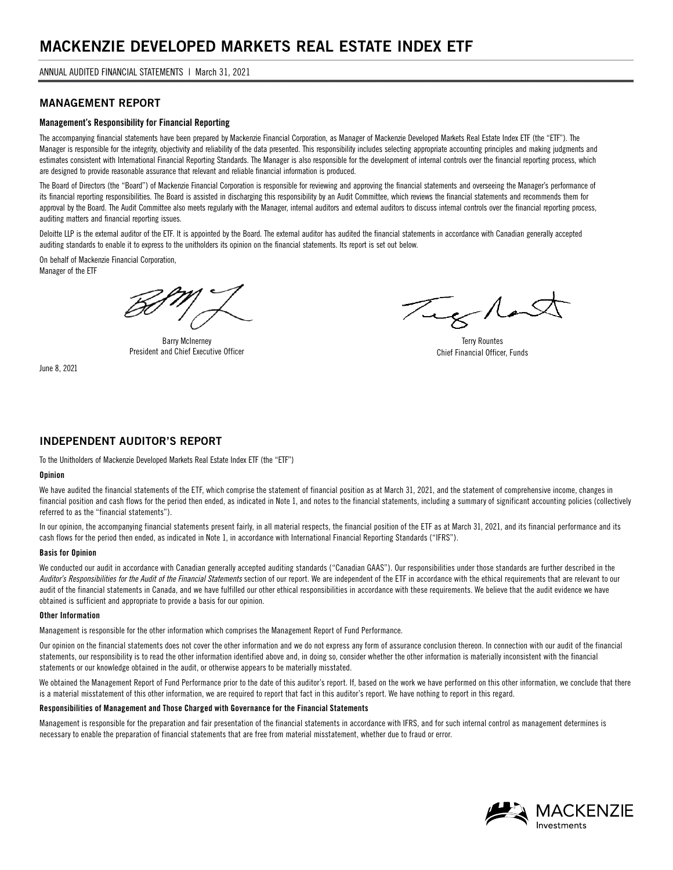#### ANNUAL AUDITED FINANCIAL STATEMENTS | March 31, 2021

# **MANAGEMENT REPORT**

#### **Management's Responsibility for Financial Reporting**

The accompanying financial statements have been prepared by Mackenzie Financial Corporation, as Manager of Mackenzie Developed Markets Real Estate Index ETF (the "ETF"). The Manager is responsible for the integrity, objectivity and reliability of the data presented. This responsibility includes selecting appropriate accounting principles and making judgments and estimates consistent with International Financial Reporting Standards. The Manager is also responsible for the development of internal controls over the financial reporting process, which are designed to provide reasonable assurance that relevant and reliable financial information is produced.

The Board of Directors (the "Board") of Mackenzie Financial Corporation is responsible for reviewing and approving the financial statements and overseeing the Manager's performance of its financial reporting responsibilities. The Board is assisted in discharging this responsibility by an Audit Committee, which reviews the financial statements and recommends them for approval by the Board. The Audit Committee also meets regularly with the Manager, internal auditors and external auditors to discuss internal controls over the financial reporting process, auditing matters and financial reporting issues.

Deloitte LLP is the external auditor of the ETF. It is appointed by the Board. The external auditor has audited the financial statements in accordance with Canadian generally accepted auditing standards to enable it to express to the unitholders its opinion on the financial statements. Its report is set out below.

On behalf of Mackenzie Financial Corporation, Manager of the ETF

Barry McInerney President and Chief Executive Officer

June 8, 2021

Teg Now

Terry Rountes Chief Financial Officer, Funds

# **INDEPENDENT AUDITOR'S REPORT**

To the Unitholders of Mackenzie Developed Markets Real Estate Index ETF (the "ETF")

#### **Opinion**

We have audited the financial statements of the ETF, which comprise the statement of financial position as at March 31, 2021, and the statement of comprehensive income, changes in financial position and cash flows for the period then ended, as indicated in Note 1, and notes to the financial statements, including a summary of significant accounting policies (collectively referred to as the "financial statements").

In our opinion, the accompanying financial statements present fairly, in all material respects, the financial position of the ETF as at March 31, 2021, and its financial performance and its cash flows for the period then ended, as indicated in Note 1, in accordance with International Financial Reporting Standards ("IFRS").

#### **Basis for Opinion**

We conducted our audit in accordance with Canadian generally accepted auditing standards ("Canadian GAAS"). Our responsibilities under those standards are further described in the *Auditor's Responsibilities for the Audit of the Financial Statements* section of our report. We are independent of the ETF in accordance with the ethical requirements that are relevant to our audit of the financial statements in Canada, and we have fulfilled our other ethical responsibilities in accordance with these requirements. We believe that the audit evidence we have obtained is sufficient and appropriate to provide a basis for our opinion.

#### **Other Information**

Management is responsible for the other information which comprises the Management Report of Fund Performance.

Our opinion on the financial statements does not cover the other information and we do not express any form of assurance conclusion thereon. In connection with our audit of the financial statements, our responsibility is to read the other information identified above and, in doing so, consider whether the other information is materially inconsistent with the financial statements or our knowledge obtained in the audit, or otherwise appears to be materially misstated.

We obtained the Management Report of Fund Performance prior to the date of this auditor's report. If, based on the work we have performed on this other information, we conclude that there is a material misstatement of this other information, we are required to report that fact in this auditor's report. We have nothing to report in this regard.

#### **Responsibilities of Management and Those Charged with Governance for the Financial Statements**

Management is responsible for the preparation and fair presentation of the financial statements in accordance with IFRS, and for such internal control as management determines is necessary to enable the preparation of financial statements that are free from material misstatement, whether due to fraud or error.

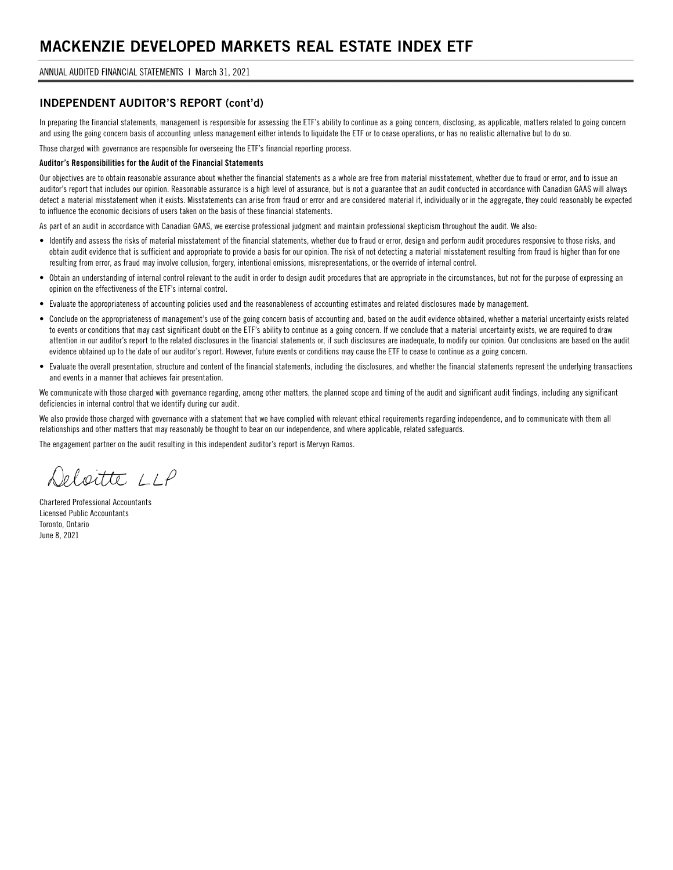# **INDEPENDENT AUDITOR'S REPORT (cont'd)**

In preparing the financial statements, management is responsible for assessing the ETF's ability to continue as a going concern, disclosing, as applicable, matters related to going concern and using the going concern basis of accounting unless management either intends to liquidate the ETF or to cease operations, or has no realistic alternative but to do so.

Those charged with governance are responsible for overseeing the ETF's financial reporting process.

#### **Auditor's Responsibilities for the Audit of the Financial Statements**

Our objectives are to obtain reasonable assurance about whether the financial statements as a whole are free from material misstatement, whether due to fraud or error, and to issue an auditor's report that includes our opinion. Reasonable assurance is a high level of assurance, but is not a guarantee that an audit conducted in accordance with Canadian GAAS will always detect a material misstatement when it exists. Misstatements can arise from fraud or error and are considered material if, individually or in the aggregate, they could reasonably be expected to influence the economic decisions of users taken on the basis of these financial statements.

As part of an audit in accordance with Canadian GAAS, we exercise professional judgment and maintain professional skepticism throughout the audit. We also:

- • Identify and assess the risks of material misstatement of the financial statements, whether due to fraud or error, design and perform audit procedures responsive to those risks, and obtain audit evidence that is sufficient and appropriate to provide a basis for our opinion. The risk of not detecting a material misstatement resulting from fraud is higher than for one resulting from error, as fraud may involve collusion, forgery, intentional omissions, misrepresentations, or the override of internal control.
- • Obtain an understanding of internal control relevant to the audit in order to design audit procedures that are appropriate in the circumstances, but not for the purpose of expressing an opinion on the effectiveness of the ETF's internal control.
- • Evaluate the appropriateness of accounting policies used and the reasonableness of accounting estimates and related disclosures made by management.
- Conclude on the appropriateness of management's use of the going concern basis of accounting and, based on the audit evidence obtained, whether a material uncertainty exists related to events or conditions that may cast significant doubt on the ETF's ability to continue as a going concern. If we conclude that a material uncertainty exists, we are required to draw attention in our auditor's report to the related disclosures in the financial statements or, if such disclosures are inadequate, to modify our opinion. Our conclusions are based on the audit evidence obtained up to the date of our auditor's report. However, future events or conditions may cause the ETF to cease to continue as a going concern.
- • Evaluate the overall presentation, structure and content of the financial statements, including the disclosures, and whether the financial statements represent the underlying transactions and events in a manner that achieves fair presentation.

We communicate with those charged with governance regarding, among other matters, the planned scope and timing of the audit and significant audit findings, including any significant deficiencies in internal control that we identify during our audit.

We also provide those charged with governance with a statement that we have complied with relevant ethical requirements regarding independence, and to communicate with them all relationships and other matters that may reasonably be thought to bear on our independence, and where applicable, related safeguards.

The engagement partner on the audit resulting in this independent auditor's report is Mervyn Ramos.

Deloitte LLP

Chartered Professional Accountants Licensed Public Accountants Toronto, Ontario June 8, 2021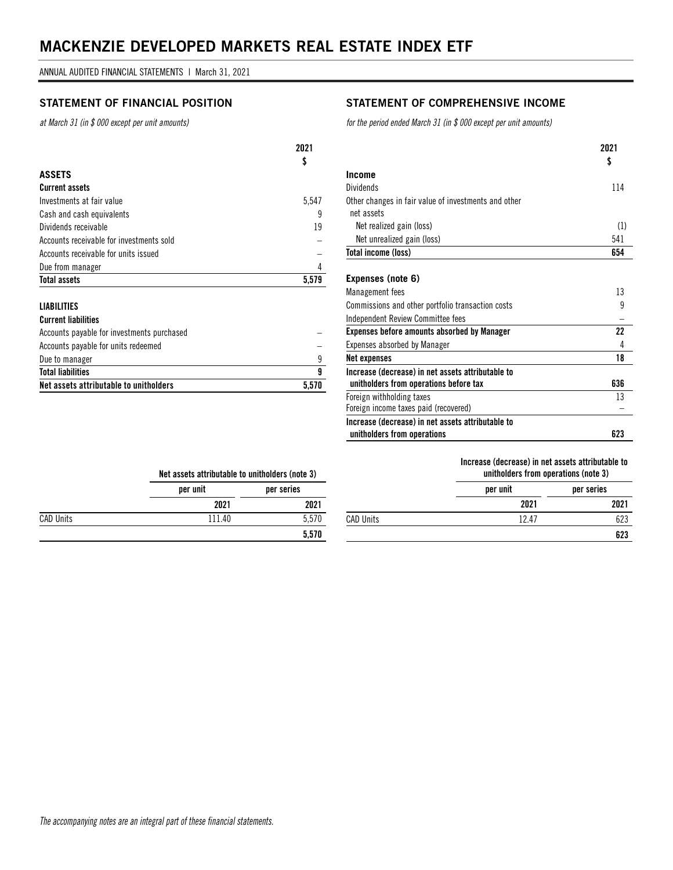ANNUAL AUDITED FINANCIAL STATEMENTS | March 31, 2021

*at March 31 (in \$ 000 except per unit amounts)*

| 2021<br>\$ |
|------------|
|            |
|            |
| 5,547      |
| 9          |
| 19         |
|            |
|            |
| 4          |
| 5.579      |
|            |

# **LIABILITIES**

| Net assets attributable to unitholders     | 5.570 |
|--------------------------------------------|-------|
| <b>Total liabilities</b>                   |       |
| Due to manager                             | q     |
| Accounts payable for units redeemed        |       |
| Accounts payable for investments purchased |       |
| <b>Current liabilities</b>                 |       |

# **STATEMENT OF FINANCIAL POSITION STATEMENT OF COMPREHENSIVE INCOME**

*for the period ended March 31 (in \$ 000 except per unit amounts)*

|                                                      | 2021<br>\$ |
|------------------------------------------------------|------------|
| Income                                               |            |
| Dividends                                            | 114        |
| Other changes in fair value of investments and other |            |
| net assets                                           |            |
| Net realized gain (loss)                             | (1)        |
| Net unrealized gain (loss)                           | 541        |
| Total income (loss)                                  | 654        |
|                                                      |            |
| Expenses (note 6)                                    |            |
| Management fees                                      | 13         |
| Commissions and other portfolio transaction costs    | 9          |
| Independent Review Committee fees                    |            |
| <b>Expenses before amounts absorbed by Manager</b>   | 22         |
| Expenses absorbed by Manager                         | 4          |
| Net expenses                                         | 18         |
| Increase (decrease) in net assets attributable to    |            |
| unitholders from operations before tax               | 636        |
| Foreign withholding taxes                            | 13         |
| Foreign income taxes paid (recovered)                |            |
| Increase (decrease) in net assets attributable to    |            |
| unitholders from operations                          | 623        |

**Increase (decrease) in net assets attributable to unitholders from operations (note 3)**

|           |          | amanonaoro mometoporaatono (noto o) |  |  |
|-----------|----------|-------------------------------------|--|--|
|           | per unit | per series                          |  |  |
|           | 2021     | 2021                                |  |  |
| CAD Units | 12.47    | 623                                 |  |  |
|           |          | 623                                 |  |  |

|                  | Net assets attributable to unitholders (note 3) |            |  |
|------------------|-------------------------------------------------|------------|--|
|                  | per unit                                        | per series |  |
|                  | 2021                                            | 2021       |  |
| <b>CAD Units</b> | 111.40                                          | 5.570      |  |
|                  |                                                 | 5,570      |  |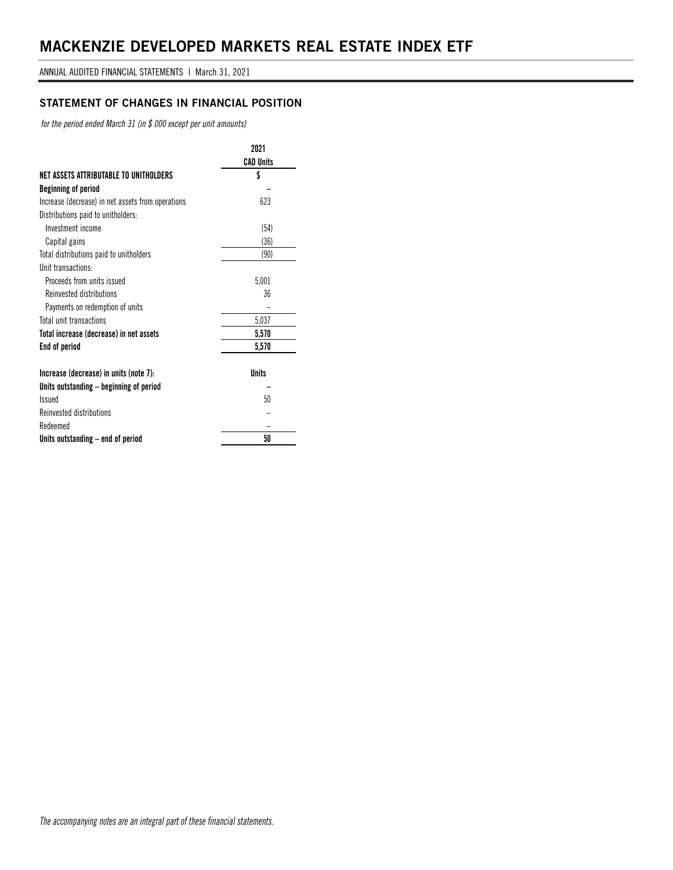# **STATEMENT OF CHANGES IN FINANCIAL POSITION**

*for the period ended March 31 (in \$ 000 except per unit amounts)*

|                                                   | 2021<br><b>CAD Units</b> |
|---------------------------------------------------|--------------------------|
| NET ASSETS ATTRIBUTABLE TO UNITHOLDERS            | \$                       |
| Beginning of period                               |                          |
| Increase (decrease) in net assets from operations | 623                      |
| Distributions paid to unitholders:                |                          |
| Investment income                                 | (54)                     |
| Capital gains                                     | (36)                     |
| Total distributions paid to unitholders           | (90)                     |
| Unit transactions:                                |                          |
| Proceeds from units issued                        | 5,001                    |
| Reinvested distributions                          | 36                       |
| Payments on redemption of units                   |                          |
| Total unit transactions                           | 5,037                    |
| Total increase (decrease) in net assets           | 5,570                    |
| End of period                                     | 5,570                    |
| Increase (decrease) in units (note 7):            | Units                    |
| Units outstanding – beginning of period           |                          |
| <b>Issued</b>                                     | 50                       |
| <b>Reinvested distributions</b>                   |                          |
| Redeemed                                          |                          |
| Units outstanding – end of period                 | 50                       |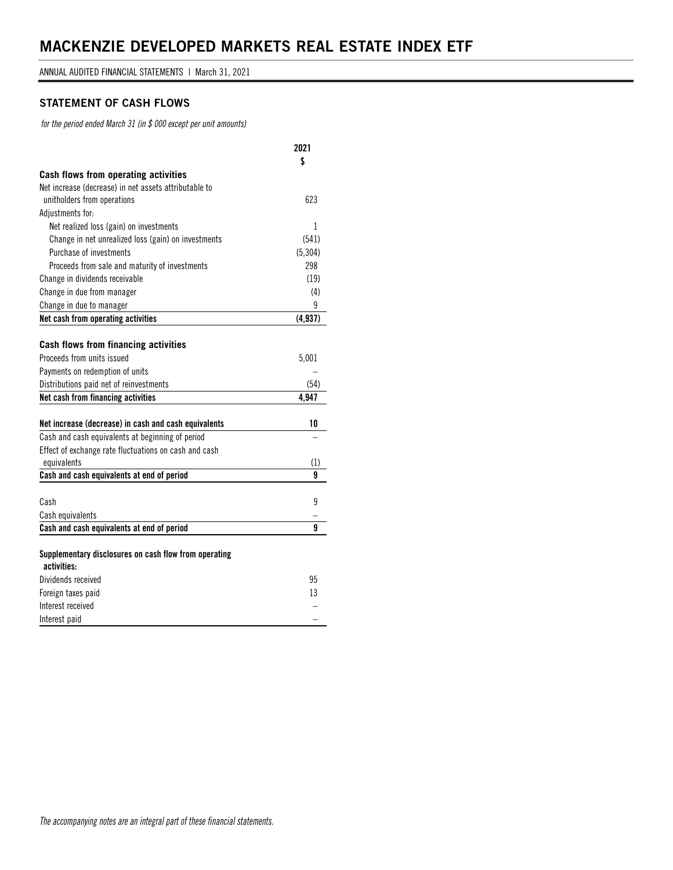# **STATEMENT OF CASH FLOWS**

*for the period ended March 31 (in \$ 000 except per unit amounts)*

|                                                                      | 2021     |
|----------------------------------------------------------------------|----------|
|                                                                      | \$       |
| Cash flows from operating activities                                 |          |
| Net increase (decrease) in net assets attributable to                |          |
| unitholders from operations                                          | 623      |
| Adjustments for:                                                     |          |
| Net realized loss (gain) on investments                              | 1        |
| Change in net unrealized loss (gain) on investments                  | (541)    |
| Purchase of investments                                              | (5,304)  |
| Proceeds from sale and maturity of investments                       | 298      |
| Change in dividends receivable                                       | (19)     |
| Change in due from manager                                           | (4)      |
| Change in due to manager                                             | 9        |
| Net cash from operating activities                                   | (4, 937) |
|                                                                      |          |
| Cash flows from financing activities                                 |          |
| Proceeds from units issued                                           | 5,001    |
| Payments on redemption of units                                      |          |
| Distributions paid net of reinvestments                              | (54)     |
| Net cash from financing activities                                   | 4,947    |
| Net increase (decrease) in cash and cash equivalents                 | 10       |
| Cash and cash equivalents at beginning of period                     |          |
| Effect of exchange rate fluctuations on cash and cash                |          |
| equivalents                                                          | (1)      |
| Cash and cash equivalents at end of period                           | g        |
|                                                                      |          |
| Cash                                                                 | 9        |
| Cash equivalents                                                     |          |
| Cash and cash equivalents at end of period                           | g        |
|                                                                      |          |
| Supplementary disclosures on cash flow from operating<br>activities: |          |
| Dividends received                                                   | 95       |
| Foreign taxes paid                                                   | 13       |
| Interest received                                                    |          |
|                                                                      |          |
| Interest paid                                                        |          |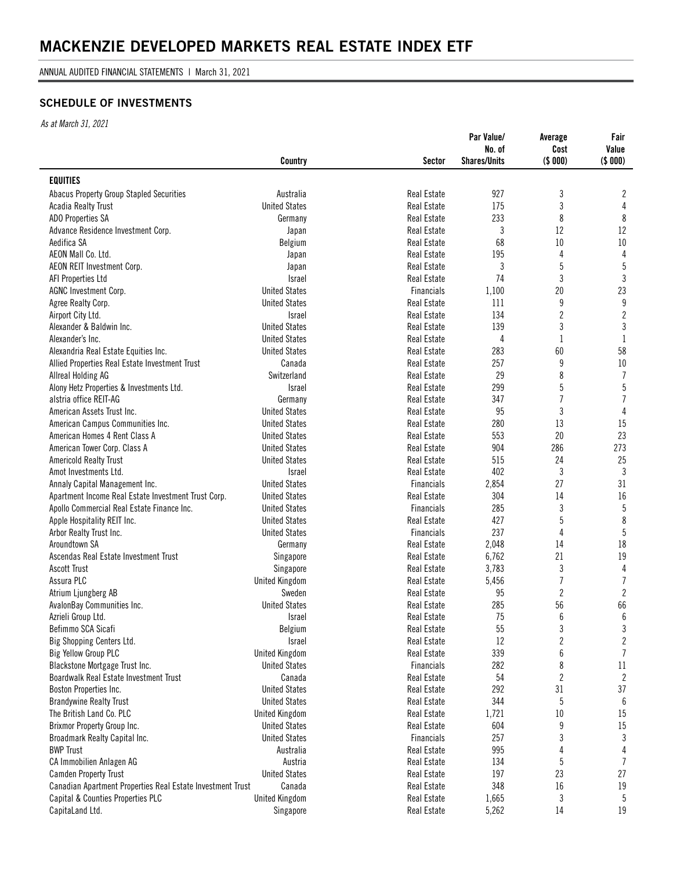ANNUAL AUDITED FINANCIAL STATEMENTS | March 31, 2021

# **SCHEDULE OF INVESTMENTS**

|                                                            | Country               | <b>Sector</b>      | Par Value/<br>No. of<br><b>Shares/Units</b> | Average<br>Cost<br>(\$000) | Fair<br>Value<br>(\$000) |
|------------------------------------------------------------|-----------------------|--------------------|---------------------------------------------|----------------------------|--------------------------|
| <b>EQUITIES</b>                                            |                       |                    |                                             |                            |                          |
| Abacus Property Group Stapled Securities                   | Australia             | Real Estate        | 927                                         | 3                          | 2                        |
| <b>Acadia Realty Trust</b>                                 | <b>United States</b>  | <b>Real Estate</b> | 175                                         | 3                          | 4                        |
| ADO Properties SA                                          | Germany               | Real Estate        | 233                                         | 8                          | 8                        |
| Advance Residence Investment Corp.                         | Japan                 | Real Estate        | 3                                           | 12                         | 12                       |
| Aedifica SA                                                | Belgium               | <b>Real Estate</b> | 68                                          | 10                         | $10\,$                   |
| AEON Mall Co. Ltd.                                         | Japan                 | <b>Real Estate</b> | 195                                         | 4                          | 4                        |
| AEON REIT Investment Corp.                                 | Japan                 | Real Estate        | 3                                           | 5                          | $\overline{5}$           |
| AFI Properties Ltd                                         | <b>Israel</b>         | <b>Real Estate</b> | 74                                          | 3                          | 3                        |
| AGNC Investment Corp.                                      | <b>United States</b>  | <b>Financials</b>  | 1,100                                       | 20                         | 23                       |
| Agree Realty Corp.                                         | <b>United States</b>  | <b>Real Estate</b> | 111                                         | 9                          | $\boldsymbol{9}$         |
| Airport City Ltd.                                          | <b>Israel</b>         | <b>Real Estate</b> | 134                                         | $\overline{c}$             | $\overline{2}$           |
| Alexander & Baldwin Inc.                                   | <b>United States</b>  | <b>Real Estate</b> | 139                                         | 3                          | $\mathfrak{Z}$           |
| Alexander's Inc.                                           | <b>United States</b>  | Real Estate        | 4                                           | 1                          | $\mathbf{1}$             |
| Alexandria Real Estate Equities Inc.                       | <b>United States</b>  | <b>Real Estate</b> | 283                                         | 60                         | 58                       |
| Allied Properties Real Estate Investment Trust             | Canada                | Real Estate        | 257                                         | 9                          | $10\,$                   |
| Allreal Holding AG                                         | Switzerland           | <b>Real Estate</b> | 29                                          | 8                          | $\overline{7}$           |
| Alony Hetz Properties & Investments Ltd.                   | <b>Israel</b>         | <b>Real Estate</b> | 299                                         | 5                          | $5\,$                    |
| alstria office REIT-AG                                     | Germany               | <b>Real Estate</b> | 347                                         | $\overline{7}$             | $\overline{7}$           |
| American Assets Trust Inc.                                 | <b>United States</b>  | Real Estate        | 95                                          | 3                          | 4                        |
| American Campus Communities Inc.                           | <b>United States</b>  | <b>Real Estate</b> | 280                                         | 13                         | 15                       |
| American Homes 4 Rent Class A                              | <b>United States</b>  | Real Estate        | 553                                         | 20                         | 23                       |
| American Tower Corp. Class A                               | <b>United States</b>  | <b>Real Estate</b> | 904                                         | 286                        | 273                      |
| <b>Americold Realty Trust</b>                              | <b>United States</b>  | <b>Real Estate</b> | 515                                         | 24                         | 25                       |
| Amot Investments Ltd.                                      | <b>Israel</b>         | <b>Real Estate</b> | 402                                         | 3                          | $\mathbf{3}$             |
| Annaly Capital Management Inc.                             | <b>United States</b>  | Financials         | 2,854                                       | 27                         | 31                       |
| Apartment Income Real Estate Investment Trust Corp.        | <b>United States</b>  | <b>Real Estate</b> | 304                                         | 14                         | 16                       |
| Apollo Commercial Real Estate Finance Inc.                 | <b>United States</b>  | <b>Financials</b>  | 285                                         | 3                          | 5                        |
| Apple Hospitality REIT Inc.                                | <b>United States</b>  | <b>Real Estate</b> | 427                                         | 5                          | 8                        |
| Arbor Realty Trust Inc.                                    | <b>United States</b>  | <b>Financials</b>  | 237                                         | 4                          | 5                        |
| Aroundtown SA                                              | Germany               | Real Estate        | 2,048                                       | 14                         | 18                       |
| Ascendas Real Estate Investment Trust                      | Singapore             | Real Estate        | 6,762                                       | 21                         | 19                       |
| <b>Ascott Trust</b>                                        | Singapore             | <b>Real Estate</b> | 3,783                                       | 3                          | 4                        |
| Assura PLC                                                 | <b>United Kingdom</b> | <b>Real Estate</b> | 5,456                                       | $\overline{1}$             | $\overline{7}$           |
| Atrium Ljungberg AB                                        | Sweden                | Real Estate        | 95                                          | $\overline{c}$             | $\overline{2}$           |
| AvalonBay Communities Inc.                                 | <b>United States</b>  | <b>Real Estate</b> | 285                                         | 56                         | 66                       |
| Azrieli Group Ltd.                                         | <b>Israel</b>         | <b>Real Estate</b> | 75                                          | 6                          | $6\phantom{.}6$          |
| Befimmo SCA Sicafi                                         | Belgium               | Real Estate        | 55                                          | 3                          | $\sqrt{3}$               |
| Big Shopping Centers Ltd.                                  | Israel                | Real Estate        | 12                                          | $\boldsymbol{2}$           | $\overline{2}$           |
| Big Yellow Group PLC                                       | <b>United Kingdom</b> | Real Estate        | 339                                         | $\boldsymbol{6}$           | $\overline{7}$           |
| Blackstone Mortgage Trust Inc.                             | <b>United States</b>  | Financials         | 282                                         | 8                          | 11                       |
| Boardwalk Real Estate Investment Trust                     | Canada                | Real Estate        | 54                                          | 2                          | $\overline{2}$           |
| Boston Properties Inc.                                     | <b>United States</b>  | <b>Real Estate</b> | 292                                         | 31                         | 37                       |
| <b>Brandywine Realty Trust</b>                             | <b>United States</b>  | Real Estate        | 344                                         | 5                          | $6\phantom{.}6$          |
| The British Land Co. PLC                                   | <b>United Kingdom</b> | Real Estate        | 1,721                                       | $10\,$                     | 15                       |
| <b>Brixmor Property Group Inc.</b>                         | <b>United States</b>  | Real Estate        | 604                                         | 9                          | 15                       |
| Broadmark Realty Capital Inc.                              | <b>United States</b>  | Financials         | 257                                         | 3                          | 3                        |
| <b>BWP Trust</b>                                           | Australia             | Real Estate        | 995                                         | 4                          | 4                        |
| CA Immobilien Anlagen AG                                   | Austria               | Real Estate        | 134                                         | 5                          | $\overline{7}$           |
| <b>Camden Property Trust</b>                               | <b>United States</b>  | Real Estate        | 197                                         | 23                         | 27                       |
| Canadian Apartment Properties Real Estate Investment Trust | Canada                | <b>Real Estate</b> | 348                                         | 16                         | 19                       |
| Capital & Counties Properties PLC                          | <b>United Kingdom</b> | Real Estate        | 1,665                                       | 3                          | 5                        |
| CapitaLand Ltd.                                            | Singapore             | Real Estate        | 5,262                                       | 14                         | 19                       |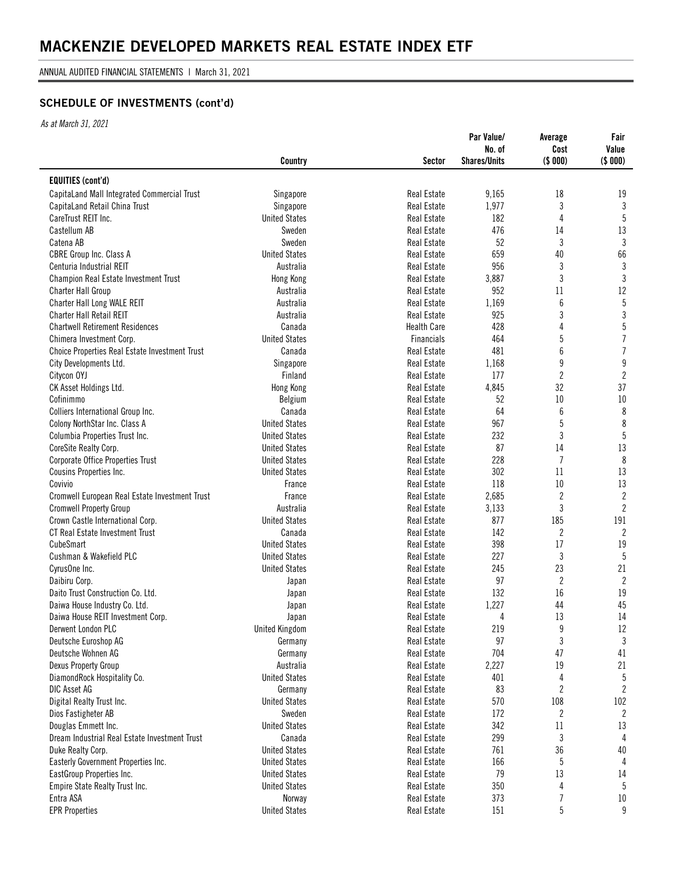ANNUAL AUDITED FINANCIAL STATEMENTS | March 31, 2021

# **SCHEDULE OF INVESTMENTS (cont'd)**

|                                                | Country               | <b>Sector</b>      | Par Value/<br>No. of<br><b>Shares/Units</b> | Average<br>Cost<br>(\$000) | Fair<br>Value<br>(\$000) |
|------------------------------------------------|-----------------------|--------------------|---------------------------------------------|----------------------------|--------------------------|
| <b>EQUITIES (cont'd)</b>                       |                       |                    |                                             |                            |                          |
| CapitaLand Mall Integrated Commercial Trust    | Singapore             | Real Estate        | 9,165                                       | 18                         | 19                       |
| CapitaLand Retail China Trust                  | Singapore             | Real Estate        | 1,977                                       | 3                          | $\mathbf{3}$             |
| CareTrust REIT Inc.                            | <b>United States</b>  | Real Estate        | 182                                         | 4                          | 5                        |
| Castellum AB                                   | Sweden                | Real Estate        | 476                                         | 14                         | 13                       |
| Catena AB                                      | Sweden                | Real Estate        | 52                                          | 3                          | $\mathbf{3}$             |
| CBRE Group Inc. Class A                        | <b>United States</b>  | Real Estate        | 659                                         | 40                         | 66                       |
| Centuria Industrial REIT                       | Australia             | Real Estate        | 956                                         | 3                          | $\mathfrak{Z}$           |
| <b>Champion Real Estate Investment Trust</b>   | Hong Kong             | Real Estate        | 3,887                                       | 3                          | $\mathbf{3}$             |
| <b>Charter Hall Group</b>                      | Australia             | Real Estate        | 952                                         | 11                         | 12                       |
| Charter Hall Long WALE REIT                    | Australia             | Real Estate        | 1,169                                       | $6\phantom{.}6$            | $5\,$                    |
| <b>Charter Hall Retail REIT</b>                | Australia             | Real Estate        | 925                                         | 3                          | $\mathfrak{Z}$           |
| <b>Chartwell Retirement Residences</b>         | Canada                | <b>Health Care</b> | 428                                         | 4                          | $5\phantom{.0}$          |
| Chimera Investment Corp.                       | <b>United States</b>  | Financials         | 464                                         | 5                          | $\overline{I}$           |
| Choice Properties Real Estate Investment Trust | Canada                | Real Estate        | 481                                         | 6                          | $\boldsymbol{7}$         |
| City Developments Ltd.                         | Singapore             | Real Estate        | 1,168                                       | 9                          | $\boldsymbol{9}$         |
| Citycon OYJ                                    | Finland               | Real Estate        | 177                                         | $\overline{2}$             | $\overline{2}$           |
| CK Asset Holdings Ltd.                         | Hong Kong             | Real Estate        | 4,845                                       | 32                         | 37                       |
| Cofinimmo                                      | Belgium               | Real Estate        | 52                                          | 10                         | $10\,$                   |
| Colliers International Group Inc.              | Canada                | Real Estate        | 64                                          | $6\,$                      | 8                        |
| Colony NorthStar Inc. Class A                  | <b>United States</b>  | Real Estate        | 967                                         | 5                          | 8                        |
| Columbia Properties Trust Inc.                 | <b>United States</b>  | Real Estate        | 232                                         | 3                          | $5\,$                    |
| CoreSite Realty Corp.                          | <b>United States</b>  | Real Estate        | 87                                          | 14                         | 13                       |
| Corporate Office Properties Trust              | <b>United States</b>  | Real Estate        | 228                                         | $\overline{7}$             | 8                        |
| Cousins Properties Inc.                        | <b>United States</b>  | Real Estate        | 302                                         | 11                         | 13                       |
| Covivio                                        | France                | Real Estate        | 118                                         | $10\,$                     | 13                       |
| Cromwell European Real Estate Investment Trust | France                | Real Estate        | 2,685                                       | $\sqrt{2}$                 | $\mathbf{2}$             |
| <b>Cromwell Property Group</b>                 | Australia             | Real Estate        | 3,133                                       | 3                          | $\mathbf{2}$             |
| Crown Castle International Corp.               | <b>United States</b>  | Real Estate        | 877                                         | 185                        | 191                      |
| CT Real Estate Investment Trust                | Canada                | Real Estate        | 142                                         | $\overline{c}$             | $\overline{2}$           |
| CubeSmart                                      | <b>United States</b>  | Real Estate        | 398                                         | 17                         | 19                       |
| Cushman & Wakefield PLC                        | <b>United States</b>  | Real Estate        | 227                                         | 3                          | 5                        |
| CyrusOne Inc.                                  | <b>United States</b>  | Real Estate        | 245                                         | 23                         | 21                       |
| Daibiru Corp.                                  | Japan                 | Real Estate        | 97                                          | 2                          | $\overline{2}$           |
| Daito Trust Construction Co. Ltd.              | Japan                 | Real Estate        | 132                                         | 16                         | 19                       |
| Daiwa House Industry Co. Ltd.                  | Japan                 | Real Estate        | 1,227                                       | 44                         | 45                       |
| Daiwa House REIT Investment Corp.              | Japan                 | Real Estate        | 4                                           | 13                         | 14                       |
| Derwent London PLC                             | <b>United Kingdom</b> | Real Estate        | 219                                         | $\boldsymbol{9}$           | 12                       |
| Deutsche Euroshop AG                           | Germany               | Real Estate        | 97                                          | 3                          | 3                        |
| Deutsche Wohnen AG                             | Germany               | Real Estate        | 704                                         | 47                         | 41                       |
| <b>Dexus Property Group</b>                    | Australia             | Real Estate        | 2,227                                       | 19                         | 21                       |
| DiamondRock Hospitality Co.                    | <b>United States</b>  | <b>Real Estate</b> | 401                                         | 4                          | $5\phantom{.0}$          |
| DIC Asset AG                                   | Germany               | Real Estate        | 83                                          | $\overline{2}$             | $\mathbf{2}$             |
| Digital Realty Trust Inc.                      | <b>United States</b>  | Real Estate        | 570                                         | 108                        | 102                      |
| Dios Fastigheter AB                            | Sweden                | <b>Real Estate</b> | 172                                         | $\overline{\mathbf{c}}$    | $\overline{2}$           |
| Douglas Emmett Inc.                            | <b>United States</b>  | Real Estate        | 342                                         | 11                         | 13                       |
| Dream Industrial Real Estate Investment Trust  | Canada                | <b>Real Estate</b> | 299                                         | 3                          | 4                        |
| Duke Realty Corp.                              | <b>United States</b>  | Real Estate        | 761                                         | 36                         | 40                       |
| Easterly Government Properties Inc.            | <b>United States</b>  | Real Estate        | 166                                         | 5                          | 4                        |
| EastGroup Properties Inc.                      | <b>United States</b>  | Real Estate        | 79                                          | 13                         | 14                       |
| Empire State Realty Trust Inc.                 | <b>United States</b>  | Real Estate        | 350                                         | 4                          | 5                        |
| Entra ASA                                      | Norway                | Real Estate        | 373                                         | 7                          | $10\,$                   |
| <b>EPR Properties</b>                          | <b>United States</b>  | Real Estate        | 151                                         | 5                          | 9                        |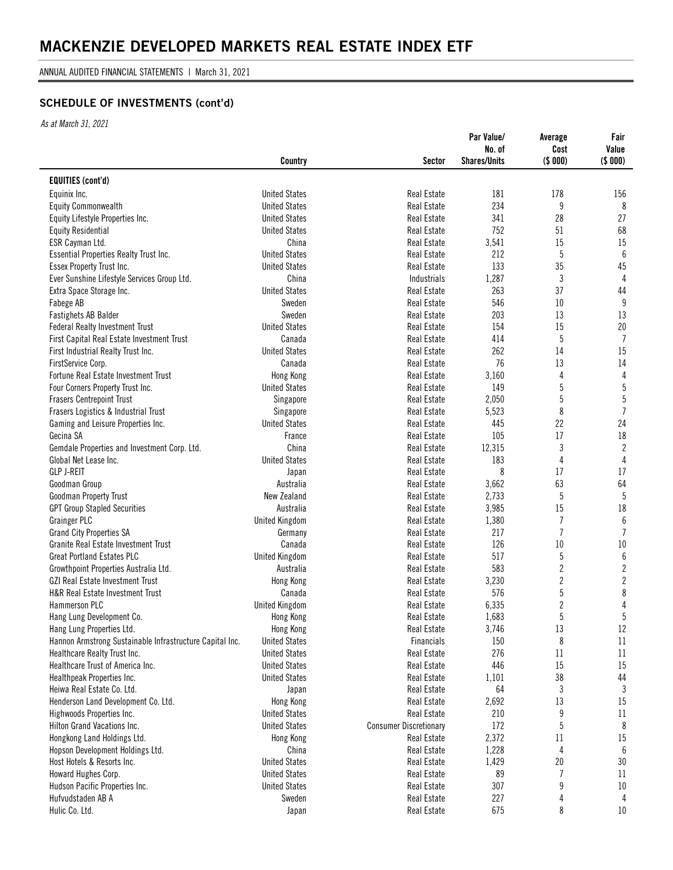ANNUAL AUDITED FINANCIAL STATEMENTS | March 31, 2021

# **SCHEDULE OF INVESTMENTS (cont'd)**

|                                                          | Country                           | <b>Sector</b>                                       | Par Value/<br>No. of<br><b>Shares/Units</b> | Average<br>Cost<br>(\$000) | Fair<br>Value<br>(\$000) |
|----------------------------------------------------------|-----------------------------------|-----------------------------------------------------|---------------------------------------------|----------------------------|--------------------------|
| <b>EQUITIES (cont'd)</b>                                 |                                   |                                                     |                                             |                            |                          |
| Equinix Inc.                                             | <b>United States</b>              | Real Estate                                         | 181                                         | 178                        | 156                      |
| <b>Equity Commonwealth</b>                               | <b>United States</b>              | Real Estate                                         | 234                                         | 9                          | 8                        |
| Equity Lifestyle Properties Inc.                         | <b>United States</b>              | Real Estate                                         | 341                                         | 28                         | 27                       |
| <b>Equity Residential</b>                                | <b>United States</b>              | Real Estate                                         | 752                                         | 51                         | 68                       |
| ESR Cayman Ltd.                                          | China                             | Real Estate                                         | 3,541                                       | 15                         | 15                       |
| Essential Properties Realty Trust Inc.                   | <b>United States</b>              | Real Estate                                         | 212                                         | 5                          | 6                        |
| Essex Property Trust Inc.                                | <b>United States</b>              | Real Estate                                         | 133                                         | 35                         | 45                       |
| Ever Sunshine Lifestyle Services Group Ltd.              | China                             | Industrials                                         | 1,287                                       | 3                          | $\overline{4}$           |
| Extra Space Storage Inc.                                 | <b>United States</b>              | Real Estate                                         | 263                                         | 37                         | 44                       |
| Fabege AB                                                | Sweden                            | Real Estate                                         | 546                                         | 10                         | 9                        |
| Fastighets AB Balder                                     | Sweden                            | Real Estate                                         | 203                                         | 13                         | 13                       |
| <b>Federal Realty Investment Trust</b>                   | <b>United States</b>              | Real Estate                                         | 154                                         | 15                         | $20\,$                   |
| First Capital Real Estate Investment Trust               | Canada                            | Real Estate                                         | 414                                         | 5                          | $\overline{1}$           |
| First Industrial Realty Trust Inc.                       | <b>United States</b>              | Real Estate                                         | 262                                         | 14                         | 15                       |
| FirstService Corp.                                       | Canada                            | <b>Real Estate</b>                                  | 76                                          | 13                         | 14                       |
| Fortune Real Estate Investment Trust                     | Hong Kong                         | Real Estate                                         | 3,160                                       | 4                          | $\overline{4}$           |
| Four Corners Property Trust Inc.                         | <b>United States</b>              | Real Estate                                         | 149                                         | 5                          | $\overline{5}$           |
| <b>Frasers Centrepoint Trust</b>                         | Singapore                         | Real Estate                                         | 2,050                                       | 5                          | $5\phantom{.0}$          |
| Frasers Logistics & Industrial Trust                     |                                   | Real Estate                                         | 5,523                                       | 8                          | $\overline{7}$           |
| Gaming and Leisure Properties Inc.                       | Singapore<br><b>United States</b> | Real Estate                                         | 445                                         | 22                         | 24                       |
| Gecina SA                                                | France                            | Real Estate                                         | 105                                         | 17                         | 18                       |
| Gemdale Properties and Investment Corp. Ltd.             | China                             | Real Estate                                         | 12,315                                      | 3                          | $\mathbf{2}$             |
| Global Net Lease Inc.                                    | <b>United States</b>              | Real Estate                                         | 183                                         | 4                          | $\overline{4}$           |
| <b>GLP J-REIT</b>                                        | Japan                             | Real Estate                                         | 8                                           | 17                         | 17                       |
| Goodman Group                                            | Australia                         | Real Estate                                         | 3,662                                       | 63                         | 64                       |
| Goodman Property Trust                                   | New Zealand                       | Real Estate                                         | 2,733                                       | 5                          | 5                        |
| <b>GPT Group Stapled Securities</b>                      | Australia                         | <b>Real Estate</b>                                  | 3,985                                       | 15                         | 18                       |
| <b>Grainger PLC</b>                                      | <b>United Kingdom</b>             | Real Estate                                         | 1,380                                       | 7                          | $6\,$                    |
| Grand City Properties SA                                 | Germany                           | Real Estate                                         | 217                                         | $\overline{1}$             | $\overline{1}$           |
| Granite Real Estate Investment Trust                     | Canada                            | Real Estate                                         | 126                                         | 10                         | 10                       |
| <b>Great Portland Estates PLC</b>                        | <b>United Kingdom</b>             | Real Estate                                         | 517                                         | 5                          | $6\,$                    |
| Growthpoint Properties Australia Ltd.                    | Australia                         | Real Estate                                         | 583                                         | $\sqrt{2}$                 | $\mathbf{2}$             |
| <b>GZI Real Estate Investment Trust</b>                  | Hong Kong                         | Real Estate                                         | 3,230                                       | 2                          | $\overline{c}$           |
| H&R Real Estate Investment Trust                         | Canada                            | Real Estate                                         | 576                                         | 5                          | $\,8\,$                  |
| Hammerson PLC                                            | <b>United Kingdom</b>             | Real Estate                                         | 6,335                                       | $\overline{c}$             | $\sqrt{4}$               |
| Hang Lung Development Co.                                | Hong Kong                         | Real Estate                                         | 1,683                                       | 5                          | 5                        |
| Hang Lung Properties Ltd.                                | Hong Kong                         | Real Estate                                         | 3,746                                       | 13                         | 12                       |
| Hannon Armstrong Sustainable Infrastructure Capital Inc. | <b>United States</b>              | Financials                                          | 150                                         | 8                          | 11                       |
| Healthcare Realty Trust Inc.                             | <b>United States</b>              | Real Estate                                         | 276                                         | 11                         | 11                       |
| Healthcare Trust of America Inc.                         | <b>United States</b>              | <b>Real Estate</b>                                  | 446                                         | 15                         | 15                       |
| Healthpeak Properties Inc.                               | <b>United States</b>              | Real Estate                                         | 1,101                                       | 38                         | 44                       |
| Heiwa Real Estate Co. Ltd.                               |                                   | Real Estate                                         | 64                                          | 3                          | 3                        |
| Henderson Land Development Co. Ltd.                      | Japan                             |                                                     |                                             | 13                         | 15                       |
|                                                          | Hong Kong<br><b>United States</b> | <b>Real Estate</b><br><b>Real Estate</b>            | 2,692<br>210                                | 9                          | 11                       |
| Highwoods Properties Inc.<br>Hilton Grand Vacations Inc. |                                   |                                                     | 172                                         | 5                          |                          |
|                                                          | <b>United States</b>              | <b>Consumer Discretionary</b><br><b>Real Estate</b> |                                             |                            | 8                        |
| Hongkong Land Holdings Ltd.                              | Hong Kong                         |                                                     | 2,372                                       | 11                         | 15                       |
| Hopson Development Holdings Ltd.                         | China                             | <b>Real Estate</b>                                  | 1,228                                       | 4                          | 6                        |
| Host Hotels & Resorts Inc.                               | <b>United States</b>              | Real Estate                                         | 1,429                                       | 20                         | $30\,$                   |
| Howard Hughes Corp.                                      | <b>United States</b>              | Real Estate                                         | 89                                          | 7                          | 11                       |
| Hudson Pacific Properties Inc.                           | <b>United States</b>              | Real Estate                                         | 307                                         | 9                          | 10                       |
| Hufvudstaden AB A                                        | Sweden                            | Real Estate                                         | 227                                         | 4                          | 4                        |
| Hulic Co. Ltd.                                           | Japan                             | Real Estate                                         | 675                                         | 8                          | $10\,$                   |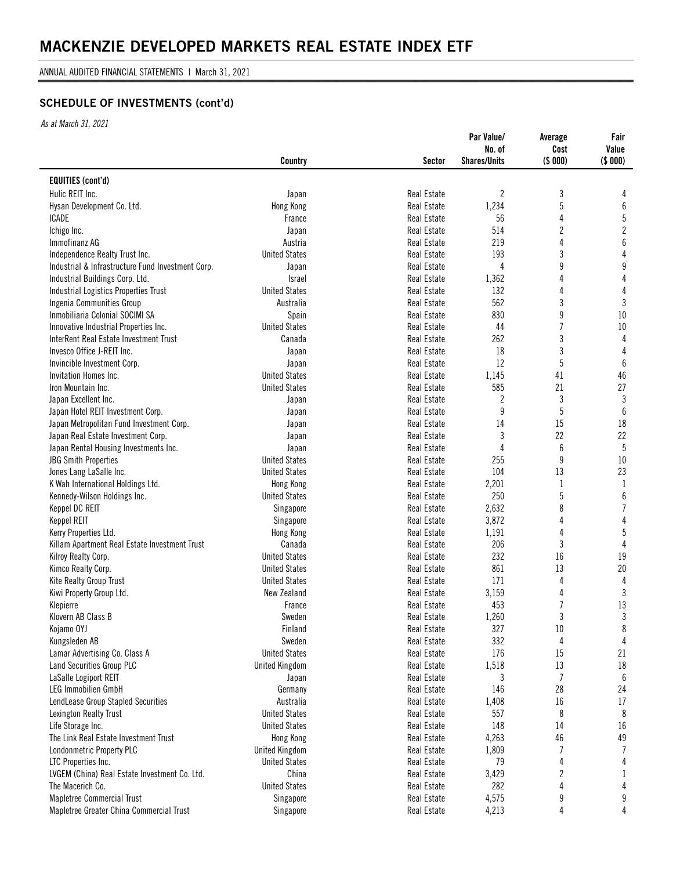ANNUAL AUDITED FINANCIAL STATEMENTS | March 31, 2021

# **SCHEDULE OF INVESTMENTS (cont'd)**

|                                                   | Country               | <b>Sector</b>      | Par Value/<br>No. of<br><b>Shares/Units</b> | Average<br>Cost<br>(\$000) | Fair<br>Value<br>(\$000) |
|---------------------------------------------------|-----------------------|--------------------|---------------------------------------------|----------------------------|--------------------------|
| <b>EQUITIES (cont'd)</b>                          |                       |                    |                                             |                            |                          |
| Hulic REIT Inc.                                   | Japan                 | Real Estate        | 2                                           | 3                          | 4                        |
| Hysan Development Co. Ltd.                        | Hong Kong             | Real Estate        | 1,234                                       | 5                          | $\boldsymbol{6}$         |
| <b>ICADE</b>                                      | France                | Real Estate        | 56                                          | 4                          | $5\,$                    |
| Ichigo Inc.                                       | Japan                 | Real Estate        | 514                                         | 2                          | $\boldsymbol{2}$         |
| Immofinanz AG                                     | Austria               | Real Estate        | 219                                         | 4                          | $\boldsymbol{6}$         |
| Independence Realty Trust Inc.                    | <b>United States</b>  | Real Estate        | 193                                         | 3                          | 4                        |
| Industrial & Infrastructure Fund Investment Corp. | Japan                 | Real Estate        | $\overline{4}$                              | 9                          | 9                        |
| Industrial Buildings Corp. Ltd.                   | Israel                | Real Estate        | 1,362                                       | 4                          | 4                        |
| Industrial Logistics Properties Trust             | <b>United States</b>  | Real Estate        | 132                                         | 4                          | 4                        |
| Ingenia Communities Group                         | Australia             | Real Estate        | 562                                         | 3                          | $\mathfrak{z}$           |
| Inmobiliaria Colonial SOCIMI SA                   | Spain                 | Real Estate        | 830                                         | 9                          | 10                       |
| Innovative Industrial Properties Inc.             | <b>United States</b>  | Real Estate        | 44                                          | 7                          | $10\,$                   |
| InterRent Real Estate Investment Trust            | Canada                | Real Estate        | 262                                         | $\mathfrak{z}$             | 4                        |
| Invesco Office J-REIT Inc.                        | Japan                 | Real Estate        | 18                                          | 3                          | 4                        |
| Invincible Investment Corp.                       | Japan                 | Real Estate        | 12                                          | 5                          | 6                        |
| Invitation Homes Inc.                             | <b>United States</b>  | Real Estate        | 1,145                                       | 41                         | 46                       |
| Iron Mountain Inc.                                | <b>United States</b>  | Real Estate        | 585                                         | 21                         | 27                       |
| Japan Excellent Inc.                              | Japan                 | Real Estate        | $\sqrt{2}$                                  | 3                          | 3                        |
| Japan Hotel REIT Investment Corp.                 | Japan                 | Real Estate        | 9                                           | 5                          | $6\phantom{1}6$          |
| Japan Metropolitan Fund Investment Corp.          | Japan                 | Real Estate        | 14                                          | 15                         | 18                       |
| Japan Real Estate Investment Corp.                | Japan                 | Real Estate        | 3                                           | 22                         | 22                       |
| Japan Rental Housing Investments Inc.             | Japan                 | Real Estate        | 4                                           | $6\phantom{a}$             | 5                        |
| <b>JBG Smith Properties</b>                       | <b>United States</b>  | Real Estate        | 255                                         | 9                          | 10                       |
| Jones Lang LaSalle Inc.                           | <b>United States</b>  | Real Estate        | 104                                         | 13                         | 23                       |
| K Wah International Holdings Ltd.                 | Hong Kong             | Real Estate        | 2,201                                       | $\mathbf{1}$               | $\mathbf{1}$             |
| Kennedy-Wilson Holdings Inc.                      | <b>United States</b>  | Real Estate        | 250                                         | 5                          | $\boldsymbol{6}$         |
| Keppel DC REIT                                    | Singapore             | Real Estate        | 2,632                                       | 8                          | $\boldsymbol{7}$         |
| Keppel REIT                                       | Singapore             | Real Estate        | 3,872                                       | 4                          | $\sqrt{4}$               |
| Kerry Properties Ltd.                             | Hong Kong             | Real Estate        | 1,191                                       | 4                          | $\overline{5}$           |
| Killam Apartment Real Estate Investment Trust     | Canada                | Real Estate        | 206                                         | 3                          | $\overline{4}$           |
| Kilroy Realty Corp.                               | <b>United States</b>  | <b>Real Estate</b> | 232                                         | 16                         | 19                       |
| Kimco Realty Corp.                                | <b>United States</b>  | Real Estate        | 861                                         | 13                         | 20                       |
| Kite Realty Group Trust                           | <b>United States</b>  | Real Estate        | 171                                         | 4                          | 4                        |
| Kiwi Property Group Ltd.                          | New Zealand           | Real Estate        | 3,159                                       | 4                          | 3                        |
| Klepierre                                         | France                | Real Estate        | 453                                         | $\overline{1}$             | 13                       |
| Klovern AB Class B                                | Sweden                | Real Estate        | 1,260                                       | 3                          | 3                        |
| Kojamo OYJ                                        | Finland               | Real Estate        | 327                                         | $10\,$                     | 8                        |
| Kungsleden AB                                     | Sweden                | Real Estate        | 332                                         | 4                          | 4                        |
| Lamar Advertising Co. Class A                     | <b>United States</b>  | Real Estate        | 176                                         | 15                         | 21                       |
| <b>Land Securities Group PLC</b>                  | <b>United Kingdom</b> | <b>Real Estate</b> | 1,518                                       | 13                         | $18\,$                   |
| LaSalle Logiport REIT                             | Japan                 | <b>Real Estate</b> | 3                                           | 7                          | 6                        |
| <b>LEG Immobilien GmbH</b>                        | Germany               | Real Estate        | 146                                         | 28                         | 24                       |
| LendLease Group Stapled Securities                | Australia             | Real Estate        | 1,408                                       | $16\,$                     | 17                       |
| Lexington Realty Trust                            | <b>United States</b>  | <b>Real Estate</b> | 557                                         | 8                          | 8                        |
| Life Storage Inc.                                 | <b>United States</b>  | <b>Real Estate</b> | 148                                         | 14                         | 16                       |
| The Link Real Estate Investment Trust             | Hong Kong             | <b>Real Estate</b> | 4,263                                       | 46                         | 49                       |
| Londonmetric Property PLC                         | <b>United Kingdom</b> | <b>Real Estate</b> | 1,809                                       |                            | 7                        |
| LTC Properties Inc.                               | <b>United States</b>  | Real Estate        | 79                                          | 4                          | 4                        |
| LVGEM (China) Real Estate Investment Co. Ltd.     | China                 | Real Estate        | 3,429                                       | $\overline{c}$             | $\mathbf{1}$             |
| The Macerich Co.                                  | <b>United States</b>  | Real Estate        | 282                                         | 4                          | $\sqrt{4}$               |
| Mapletree Commercial Trust                        | Singapore             | Real Estate        | 4,575                                       | 9                          | 9                        |
| Mapletree Greater China Commercial Trust          | Singapore             | Real Estate        | 4,213                                       | 4                          | 4                        |
|                                                   |                       |                    |                                             |                            |                          |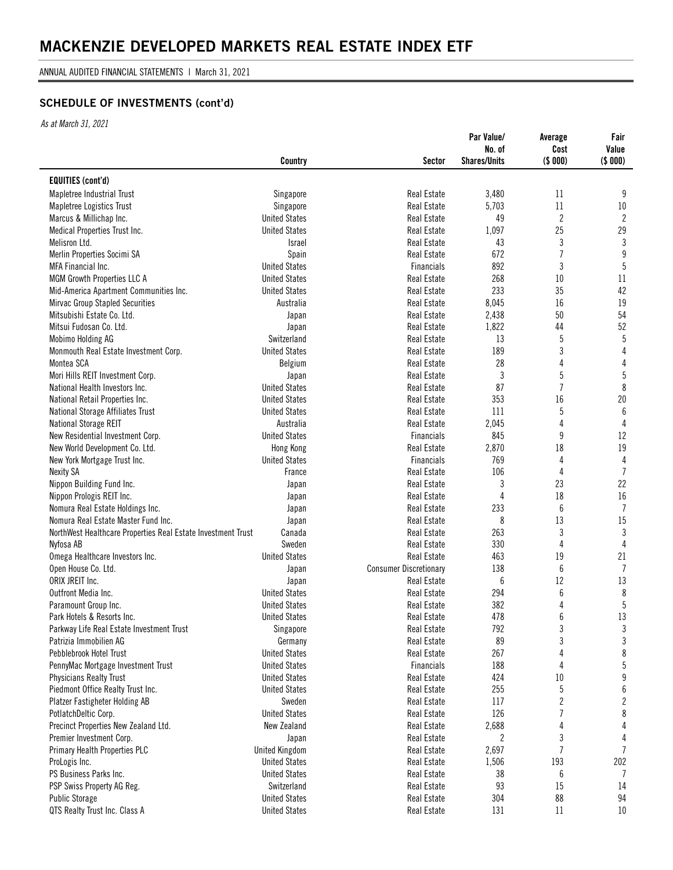ANNUAL AUDITED FINANCIAL STATEMENTS | March 31, 2021

# **SCHEDULE OF INVESTMENTS (cont'd)**

|                                                              | Country               | <b>Sector</b>                 | Par Value/<br>No. of<br><b>Shares/Units</b> | Average<br>Cost<br>(\$000) | Fair<br>Value<br>(\$000) |
|--------------------------------------------------------------|-----------------------|-------------------------------|---------------------------------------------|----------------------------|--------------------------|
| <b>EQUITIES (cont'd)</b>                                     |                       |                               |                                             |                            |                          |
| Mapletree Industrial Trust                                   | Singapore             | Real Estate                   | 3,480                                       | 11                         | 9                        |
| Mapletree Logistics Trust                                    | Singapore             | Real Estate                   | 5,703                                       | 11                         | 10                       |
| Marcus & Millichap Inc.                                      | <b>United States</b>  | Real Estate                   | 49                                          | $\overline{c}$             | $\overline{2}$           |
| Medical Properties Trust Inc.                                | <b>United States</b>  | Real Estate                   | 1,097                                       | 25                         | 29                       |
| Melisron Ltd.                                                | Israel                | Real Estate                   | 43                                          | 3                          | $\mathbf{3}$             |
| Merlin Properties Socimi SA                                  | Spain                 | Real Estate                   | 672                                         | $\overline{1}$             | 9                        |
| MFA Financial Inc.                                           | <b>United States</b>  | Financials                    | 892                                         | 3                          | $5\phantom{.0}$          |
|                                                              |                       |                               | 268                                         | $10\,$                     | 11                       |
| MGM Growth Properties LLC A                                  | <b>United States</b>  | Real Estate                   | 233                                         | 35                         | 42                       |
| Mid-America Apartment Communities Inc.                       | <b>United States</b>  | Real Estate                   |                                             |                            |                          |
| Mirvac Group Stapled Securities                              | Australia             | Real Estate                   | 8,045                                       | 16                         | 19                       |
| Mitsubishi Estate Co. Ltd.                                   | Japan                 | Real Estate                   | 2,438                                       | 50                         | 54                       |
| Mitsui Fudosan Co. Ltd.                                      | Japan                 | Real Estate                   | 1,822                                       | 44                         | 52                       |
| Mobimo Holding AG                                            | Switzerland           | Real Estate                   | 13                                          | 5                          | $\overline{5}$           |
| Monmouth Real Estate Investment Corp.                        | <b>United States</b>  | Real Estate                   | 189                                         | 3                          | 4                        |
| Montea SCA                                                   | Belgium               | <b>Real Estate</b>            | 28                                          | 4                          | 4                        |
| Mori Hills REIT Investment Corp.                             | Japan                 | Real Estate                   | 3                                           | 5                          | $\sqrt{5}$               |
| National Health Investors Inc.                               | <b>United States</b>  | Real Estate                   | 87                                          | $\overline{7}$             | 8                        |
| National Retail Properties Inc.                              | <b>United States</b>  | Real Estate                   | 353                                         | 16                         | $20\,$                   |
| National Storage Affiliates Trust                            | <b>United States</b>  | Real Estate                   | 111                                         | 5                          | $6\phantom{1}6$          |
| National Storage REIT                                        | Australia             | Real Estate                   | 2,045                                       | 4                          | 4                        |
| New Residential Investment Corp.                             | <b>United States</b>  | Financials                    | 845                                         | 9                          | 12                       |
| New World Development Co. Ltd.                               | Hong Kong             | Real Estate                   | 2,870                                       | 18                         | 19                       |
| New York Mortgage Trust Inc.                                 | <b>United States</b>  | Financials                    | 769                                         | 4                          | 4                        |
| <b>Nexity SA</b>                                             | France                | Real Estate                   | 106                                         | 4                          | $\overline{1}$           |
| Nippon Building Fund Inc.                                    | Japan                 | Real Estate                   | 3                                           | 23                         | 22                       |
| Nippon Prologis REIT Inc.                                    | Japan                 | Real Estate                   | 4                                           | 18                         | 16                       |
| Nomura Real Estate Holdings Inc.                             | Japan                 | Real Estate                   | 233                                         | 6                          | $\overline{1}$           |
| Nomura Real Estate Master Fund Inc.                          | Japan                 | Real Estate                   | 8                                           | 13                         | 15                       |
| NorthWest Healthcare Properties Real Estate Investment Trust | Canada                | Real Estate                   | 263                                         | 3                          | 3                        |
| Nyfosa AB                                                    | Sweden                | Real Estate                   | 330                                         | 4                          | $\overline{4}$           |
| Omega Healthcare Investors Inc.                              | <b>United States</b>  | Real Estate                   | 463                                         | 19                         | 21                       |
| Open House Co. Ltd.                                          | Japan                 | <b>Consumer Discretionary</b> | 138                                         | 6                          | $\overline{7}$           |
| ORIX JREIT Inc.                                              | Japan                 | <b>Real Estate</b>            | 6                                           | 12                         | 13                       |
| Outfront Media Inc.                                          | <b>United States</b>  | Real Estate                   | 294                                         | $6\phantom{a}$             | 8                        |
| Paramount Group Inc.                                         | <b>United States</b>  | Real Estate                   | 382                                         | 4                          | $5\phantom{.0}$          |
| Park Hotels & Resorts Inc.                                   | <b>United States</b>  | Real Estate                   | 478                                         | 6                          | 13                       |
| Parkway Life Real Estate Investment Trust                    | Singapore             | Real Estate                   | 792                                         | 3                          | $\sqrt{3}$               |
| Patrizia Immobilien AG                                       | Germany               | Real Estate                   | 89                                          | 3                          | 3                        |
| Pebblebrook Hotel Trust                                      | <b>United States</b>  | Real Estate                   | 267                                         | 4                          | 8                        |
| PennyMac Mortgage Investment Trust                           | <b>United States</b>  | Financials                    | 188                                         | 4                          | $5\,$                    |
| <b>Physicians Realty Trust</b>                               | <b>United States</b>  | <b>Real Estate</b>            | 424                                         | $10\,$                     | 9                        |
| Piedmont Office Realty Trust Inc.                            | <b>United States</b>  |                               | 255                                         | 5                          | $6\,$                    |
|                                                              |                       | Real Estate                   | 117                                         | $\overline{\mathbf{2}}$    | $\mathbf{2}$             |
| Platzer Fastigheter Holding AB                               | Sweden                | <b>Real Estate</b>            | 126                                         | 7                          | 8                        |
| PotlatchDeltic Corp.                                         | <b>United States</b>  | <b>Real Estate</b>            |                                             |                            |                          |
| Precinct Properties New Zealand Ltd.                         | New Zealand           | <b>Real Estate</b>            | 2,688                                       | 4                          | 4                        |
| Premier Investment Corp.                                     | Japan                 | <b>Real Estate</b>            | $\overline{2}$                              | 3                          | 4                        |
| Primary Health Properties PLC                                | <b>United Kingdom</b> | <b>Real Estate</b>            | 2,697                                       | $\overline{1}$             | $\overline{7}$           |
| ProLogis Inc.                                                | <b>United States</b>  | <b>Real Estate</b>            | 1,506                                       | 193                        | 202                      |
| PS Business Parks Inc.                                       | <b>United States</b>  | <b>Real Estate</b>            | 38                                          | 6                          | 7                        |
| PSP Swiss Property AG Reg.                                   | Switzerland           | <b>Real Estate</b>            | 93                                          | 15                         | 14                       |
| <b>Public Storage</b>                                        | <b>United States</b>  | <b>Real Estate</b>            | 304                                         | 88                         | 94                       |
| QTS Realty Trust Inc. Class A                                | <b>United States</b>  | Real Estate                   | 131                                         | 11                         | $10\,$                   |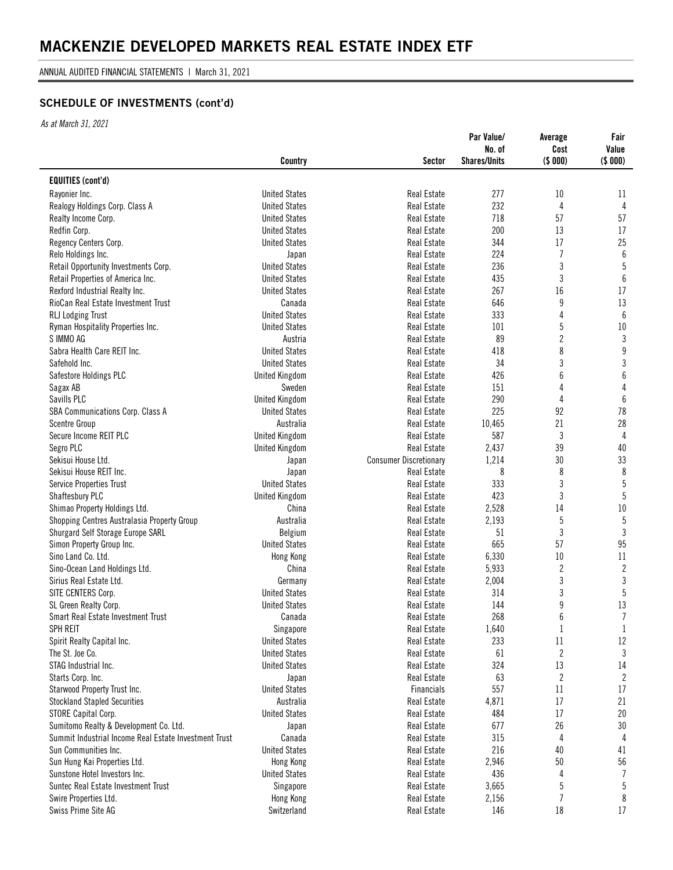ANNUAL AUDITED FINANCIAL STATEMENTS | March 31, 2021

# **SCHEDULE OF INVESTMENTS (cont'd)**

|                                                        |                                 |                                   | Par Value/                    | Average          | Fair              |
|--------------------------------------------------------|---------------------------------|-----------------------------------|-------------------------------|------------------|-------------------|
|                                                        | Country                         | <b>Sector</b>                     | No. of<br><b>Shares/Units</b> | Cost<br>(\$000)  | Value<br>(\$ 000) |
| <b>EQUITIES (cont'd)</b>                               |                                 |                                   |                               |                  |                   |
| Rayonier Inc.                                          | <b>United States</b>            | <b>Real Estate</b>                | 277                           | 10               | 11                |
| Realogy Holdings Corp. Class A                         | <b>United States</b>            | <b>Real Estate</b>                | 232                           | 4                | 4                 |
| Realty Income Corp.                                    | <b>United States</b>            | <b>Real Estate</b>                | 718                           | 57               | 57                |
| Redfin Corp.                                           | <b>United States</b>            | <b>Real Estate</b>                | 200                           | 13               | 17                |
| Regency Centers Corp.                                  | <b>United States</b>            | Real Estate                       | 344                           | 17               | 25                |
| Relo Holdings Inc.                                     | Japan                           | Real Estate                       | 224                           | $\overline{1}$   | $6\,$             |
| Retail Opportunity Investments Corp.                   | <b>United States</b>            | Real Estate                       | 236                           | 3                | $5\phantom{.0}$   |
| Retail Properties of America Inc.                      | <b>United States</b>            | Real Estate                       | 435                           | 3                | $\boldsymbol{6}$  |
| Rexford Industrial Realty Inc.                         | <b>United States</b>            | <b>Real Estate</b>                | 267                           | 16               | 17                |
| RioCan Real Estate Investment Trust                    | Canada                          | <b>Real Estate</b>                | 646                           | 9                | 13                |
|                                                        | <b>United States</b>            | Real Estate                       | 333                           | 4                | $6\phantom{1}6$   |
| RLJ Lodging Trust<br>Ryman Hospitality Properties Inc. | <b>United States</b>            | Real Estate                       | 101                           | 5                | $10\,$            |
|                                                        |                                 |                                   | 89                            | $\overline{2}$   |                   |
| S IMMO AG<br>Sabra Health Care REIT Inc.               | Austria<br><b>United States</b> | Real Estate<br><b>Real Estate</b> | 418                           | 8                | $\mathfrak{Z}$    |
|                                                        |                                 |                                   |                               | 3                | $\boldsymbol{9}$  |
| Safehold Inc.                                          | <b>United States</b>            | <b>Real Estate</b>                | 34                            |                  | $\mathfrak{z}$    |
| Safestore Holdings PLC                                 | <b>United Kingdom</b>           | <b>Real Estate</b>                | 426                           | 6                | $\boldsymbol{6}$  |
| Sagax AB                                               | Sweden                          | Real Estate                       | 151                           | 4                | 4                 |
| Savills PLC                                            | <b>United Kingdom</b>           | <b>Real Estate</b>                | 290                           | 4                | $\boldsymbol{6}$  |
| SBA Communications Corp. Class A                       | <b>United States</b>            | Real Estate                       | 225                           | 92               | 78                |
| <b>Scentre Group</b>                                   | Australia                       | Real Estate                       | 10,465                        | 21               | 28                |
| Secure Income REIT PLC                                 | <b>United Kingdom</b>           | <b>Real Estate</b>                | 587                           | 3                | $\overline{4}$    |
| Segro PLC                                              | <b>United Kingdom</b>           | Real Estate                       | 2,437                         | 39               | 40                |
| Sekisui House Ltd.                                     | Japan                           | <b>Consumer Discretionary</b>     | 1,214                         | 30               | 33                |
| Sekisui House REIT Inc.                                | Japan                           | <b>Real Estate</b>                | 8                             | 8                | 8                 |
| Service Properties Trust                               | <b>United States</b>            | <b>Real Estate</b>                | 333                           | 3                | $\sqrt{5}$        |
| <b>Shaftesbury PLC</b>                                 | <b>United Kingdom</b>           | <b>Real Estate</b>                | 423                           | 3                | $5\,$             |
| Shimao Property Holdings Ltd.                          | China                           | <b>Real Estate</b>                | 2,528                         | 14               | 10                |
| Shopping Centres Australasia Property Group            | Australia                       | <b>Real Estate</b>                | 2,193                         | 5                | $5\phantom{.0}$   |
| Shurgard Self Storage Europe SARL                      | Belgium                         | Real Estate                       | 51                            | 3                | $\mathfrak{Z}$    |
| Simon Property Group Inc.                              | <b>United States</b>            | <b>Real Estate</b>                | 665                           | 57               | 95                |
| Sino Land Co. Ltd.                                     | Hong Kong                       | Real Estate                       | 6,330                         | $10\,$           | 11                |
| Sino-Ocean Land Holdings Ltd.                          | China                           | Real Estate                       | 5,933                         | 2                | $\overline{2}$    |
| Sirius Real Estate Ltd.                                | Germany                         | <b>Real Estate</b>                | 2,004                         | 3                | $\mathfrak{Z}$    |
| SITE CENTERS Corp.                                     | <b>United States</b>            | Real Estate                       | 314                           | 3                | $\overline{5}$    |
| SL Green Realty Corp.                                  | <b>United States</b>            | Real Estate                       | 144                           | 9                | 13                |
| Smart Real Estate Investment Trust                     | Canada                          | Real Estate                       | 268                           | 6                | $\overline{7}$    |
| SPH REIT                                               | Singapore                       | Real Estate                       | 1,640                         | $\,1\,$          | $\mathbf{1}$      |
| Spirit Realty Capital Inc.                             | <b>United States</b>            | Real Estate                       | 233                           | 11               | 12                |
| The St. Joe Co.                                        | <b>United States</b>            | <b>Real Estate</b>                | 61                            | $\boldsymbol{2}$ | 3                 |
| STAG Industrial Inc.                                   | <b>United States</b>            | Real Estate                       | 324                           | 13               | 14                |
| Starts Corp. Inc.                                      | Japan                           | Real Estate                       | 63                            | 2                | $\overline{2}$    |
| Starwood Property Trust Inc.                           | <b>United States</b>            | <b>Financials</b>                 | 557                           | 11               | 17                |
| <b>Stockland Stapled Securities</b>                    | Australia                       | Real Estate                       | 4,871                         | 17               | 21                |
| STORE Capital Corp.                                    | <b>United States</b>            | <b>Real Estate</b>                | 484                           | 17               | 20                |
| Sumitomo Realty & Development Co. Ltd.                 | Japan                           | <b>Real Estate</b>                | 677                           | 26               | $30\,$            |
| Summit Industrial Income Real Estate Investment Trust  | Canada                          | Real Estate                       | 315                           | 4                | 4                 |
| Sun Communities Inc.                                   | <b>United States</b>            | <b>Real Estate</b>                | 216                           | 40               | 41                |
| Sun Hung Kai Properties Ltd.                           | Hong Kong                       | Real Estate                       | 2,946                         | $50\,$           | 56                |
| Sunstone Hotel Investors Inc.                          | <b>United States</b>            | Real Estate                       | 436                           | 4                | $\overline{1}$    |
| Suntec Real Estate Investment Trust                    | Singapore                       | <b>Real Estate</b>                | 3,665                         | 5                | $5\,$             |
| Swire Properties Ltd.                                  | Hong Kong                       | <b>Real Estate</b>                | 2,156                         | 7                | 8                 |
| Swiss Prime Site AG                                    | Switzerland                     | Real Estate                       | 146                           | 18               | 17                |
|                                                        |                                 |                                   |                               |                  |                   |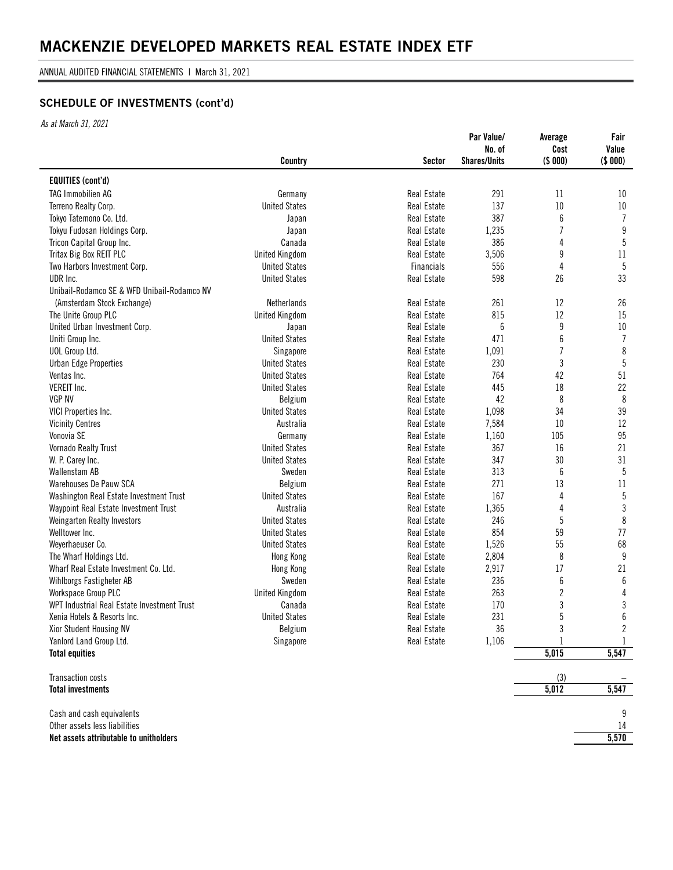ANNUAL AUDITED FINANCIAL STATEMENTS | March 31, 2021

# **SCHEDULE OF INVESTMENTS (cont'd)**

*As at March 31, 2021*

|                                             | Country               | Sector             | Par Value/<br>No. of<br><b>Shares/Units</b> | Average<br>Cost<br>( \$ 000) | Fair<br>Value<br>(\$ 000) |
|---------------------------------------------|-----------------------|--------------------|---------------------------------------------|------------------------------|---------------------------|
| <b>EQUITIES (cont'd)</b>                    |                       |                    |                                             |                              |                           |
| <b>TAG Immobilien AG</b>                    | Germany               | <b>Real Estate</b> | 291                                         | 11                           | 10                        |
| Terreno Realty Corp.                        | <b>United States</b>  | <b>Real Estate</b> | 137                                         | 10                           | $10\,$                    |
| Tokyo Tatemono Co. Ltd.                     | Japan                 | <b>Real Estate</b> | 387                                         | 6                            | $\overline{1}$            |
| Tokyu Fudosan Holdings Corp.                | Japan                 | <b>Real Estate</b> | 1,235                                       | $\overline{1}$               | $\boldsymbol{9}$          |
| Tricon Capital Group Inc.                   | Canada                | <b>Real Estate</b> | 386                                         | 4                            | $\overline{5}$            |
| Tritax Big Box REIT PLC                     | <b>United Kingdom</b> | <b>Real Estate</b> | 3,506                                       | 9                            | 11                        |
| Two Harbors Investment Corp.                | <b>United States</b>  | <b>Financials</b>  | 556                                         | 4                            | $\overline{5}$            |
| UDR Inc.                                    | <b>United States</b>  | <b>Real Estate</b> | 598                                         | 26                           | 33                        |
| Unibail-Rodamco SE & WFD Unibail-Rodamco NV |                       |                    |                                             |                              |                           |
| (Amsterdam Stock Exchange)                  | <b>Netherlands</b>    | <b>Real Estate</b> | 261                                         | 12                           | 26                        |
| The Unite Group PLC                         | <b>United Kingdom</b> | <b>Real Estate</b> | 815                                         | 12                           | 15                        |
| United Urban Investment Corp.               | Japan                 | <b>Real Estate</b> | 6                                           | 9                            | 10                        |
| Uniti Group Inc.                            | <b>United States</b>  | <b>Real Estate</b> | 471                                         | 6                            | $\overline{7}$            |
| UOL Group Ltd.                              | Singapore             | Real Estate        | 1,091                                       | 7                            | $\,8\,$                   |
| <b>Urban Edge Properties</b>                | <b>United States</b>  | Real Estate        | 230                                         | 3                            | $\overline{5}$            |
| Ventas Inc.                                 | <b>United States</b>  | Real Estate        | 764                                         | 42                           | 51                        |
| <b>VEREIT Inc.</b>                          | <b>United States</b>  | <b>Real Estate</b> | 445                                         | 18                           | 22                        |
| <b>VGP NV</b>                               | Belgium               | <b>Real Estate</b> | 42                                          | 8                            | 8                         |
| VICI Properties Inc.                        | <b>United States</b>  | <b>Real Estate</b> | 1,098                                       | 34                           | 39                        |
| <b>Vicinity Centres</b>                     | Australia             | <b>Real Estate</b> | 7,584                                       | 10                           | 12                        |
| Vonovia SE                                  | Germany               | <b>Real Estate</b> | 1,160                                       | 105                          | 95                        |
| <b>Vornado Realty Trust</b>                 | <b>United States</b>  | <b>Real Estate</b> | 367                                         | 16                           | 21                        |
| W. P. Carey Inc.                            | <b>United States</b>  | <b>Real Estate</b> | 347                                         | 30                           | 31                        |
| Wallenstam AB                               | Sweden                | <b>Real Estate</b> | 313                                         | $6\phantom{.}6$              | 5                         |
| Warehouses De Pauw SCA                      | Belgium               | <b>Real Estate</b> | 271                                         | 13                           | 11                        |
| Washington Real Estate Investment Trust     | <b>United States</b>  | <b>Real Estate</b> | 167                                         | 4                            | $\overline{5}$            |
| Waypoint Real Estate Investment Trust       | Australia             | <b>Real Estate</b> | 1,365                                       | 4                            | $\mathfrak{z}$            |
| Weingarten Realty Investors                 | <b>United States</b>  | <b>Real Estate</b> | 246                                         | 5                            | $\,8\,$                   |
| Welltower Inc.                              | <b>United States</b>  | <b>Real Estate</b> | 854                                         | 59                           | 77                        |
| Weyerhaeuser Co.                            | <b>United States</b>  | <b>Real Estate</b> | 1,526                                       | 55                           | 68                        |
| The Wharf Holdings Ltd.                     | Hong Kong             | <b>Real Estate</b> | 2,804                                       | 8                            | 9                         |
| Wharf Real Estate Investment Co. Ltd.       | Hong Kong             | <b>Real Estate</b> | 2,917                                       | 17                           | 21                        |
| Wihlborgs Fastigheter AB                    | Sweden                | Real Estate        | 236                                         | $6\phantom{a}$               | $\boldsymbol{6}$          |
| Workspace Group PLC                         | <b>United Kingdom</b> | Real Estate        | 263                                         | $\overline{c}$               | 4                         |
| WPT Industrial Real Estate Investment Trust | Canada                | Real Estate        | 170                                         | 3                            | $\mathfrak{z}$            |
| Xenia Hotels & Resorts Inc.                 | <b>United States</b>  | <b>Real Estate</b> | 231                                         | 5                            | $\boldsymbol{6}$          |
| Xior Student Housing NV                     | Belgium               | <b>Real Estate</b> | 36                                          | 3                            | $\sqrt{2}$                |
| Yanlord Land Group Ltd.                     | Singapore             | <b>Real Estate</b> | 1,106                                       |                              | $\mathbf{1}$              |
| <b>Total equities</b>                       |                       |                    |                                             | 5,015                        | 5,547                     |
| <b>Transaction costs</b>                    |                       |                    |                                             | (3)                          |                           |

| Transaction<br>COSLS         | ιJ       | –           |
|------------------------------|----------|-------------|
| <b>Total inve</b><br>stments | . .<br>ш | ----<br>J.J |

Cash and cash equivalents and cash equivalents of  $9$ Other assets less liabilities 14<br> **Net assets attributable to unitholders** 14<br> **Net assets attributable to unitholders** 15,570 **Net assets attributable to unitholders**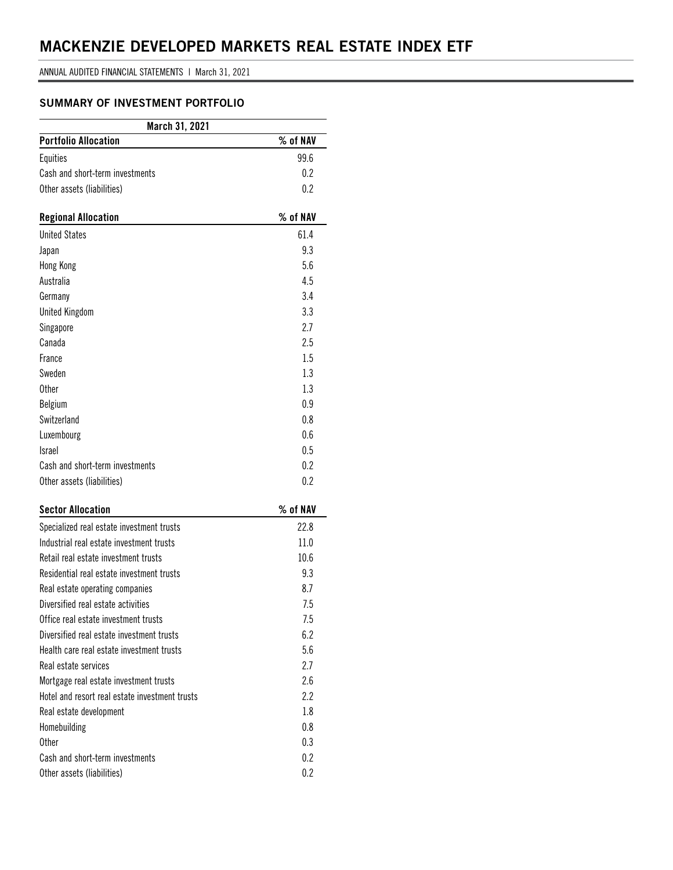ANNUAL AUDITED FINANCIAL STATEMENTS | March 31, 2021

# **SUMMARY OF INVESTMENT PORTFOLIO**

| March 31, 2021                                 |          |  |  |  |  |
|------------------------------------------------|----------|--|--|--|--|
| <b>Portfolio Allocation</b>                    | % of NAV |  |  |  |  |
| Equities                                       | 99.6     |  |  |  |  |
| Cash and short-term investments                | 0.2      |  |  |  |  |
| Other assets (liabilities)                     | 0.2      |  |  |  |  |
| <b>Regional Allocation</b>                     | % of NAV |  |  |  |  |
| <b>United States</b>                           | 61.4     |  |  |  |  |
| Japan                                          | 9.3      |  |  |  |  |
| Hong Kong                                      | 5.6      |  |  |  |  |
| Australia                                      | 4.5      |  |  |  |  |
| Germany                                        | 3.4      |  |  |  |  |
| <b>United Kingdom</b>                          | 3.3      |  |  |  |  |
| Singapore                                      | 2.7      |  |  |  |  |
| Canada                                         | 2.5      |  |  |  |  |
| France                                         | 1.5      |  |  |  |  |
| Sweden                                         | 1.3      |  |  |  |  |
| <b>Other</b>                                   | 1.3      |  |  |  |  |
| Belgium                                        | 0.9      |  |  |  |  |
| Switzerland                                    | 0.8      |  |  |  |  |
| Luxembourg                                     | 0.6      |  |  |  |  |
| <b>Israel</b>                                  | 0.5      |  |  |  |  |
| Cash and short-term investments                | 0.2      |  |  |  |  |
| Other assets (liabilities)                     | 0.2      |  |  |  |  |
| <b>Sector Allocation</b>                       | % of NAV |  |  |  |  |
| Specialized real estate investment trusts      | 22.8     |  |  |  |  |
| Industrial real estate investment trusts       | 11.0     |  |  |  |  |
| Retail real estate investment trusts           | 10.6     |  |  |  |  |
| Residential real estate investment trusts      | 9.3      |  |  |  |  |
| Real estate operating companies                | 8.7      |  |  |  |  |
| Diversified real estate activities             | 7.5      |  |  |  |  |
| Office real estate investment trusts           | 7.5      |  |  |  |  |
| Diversified real estate investment trusts      | 6.2      |  |  |  |  |
| Health care real estate investment trusts      | 5.6      |  |  |  |  |
| Real estate services                           | 2.7      |  |  |  |  |
| Mortgage real estate investment trusts         | 2.6      |  |  |  |  |
| Hotel and resort real estate investment trusts | 2.2      |  |  |  |  |
| Real estate development                        | 1.8      |  |  |  |  |
| Homebuilding                                   | 0.8      |  |  |  |  |
| <b>Other</b>                                   | 0.3      |  |  |  |  |
| Cash and short-term investments                | 0.2      |  |  |  |  |
| Other assets (liabilities)                     | 0.2      |  |  |  |  |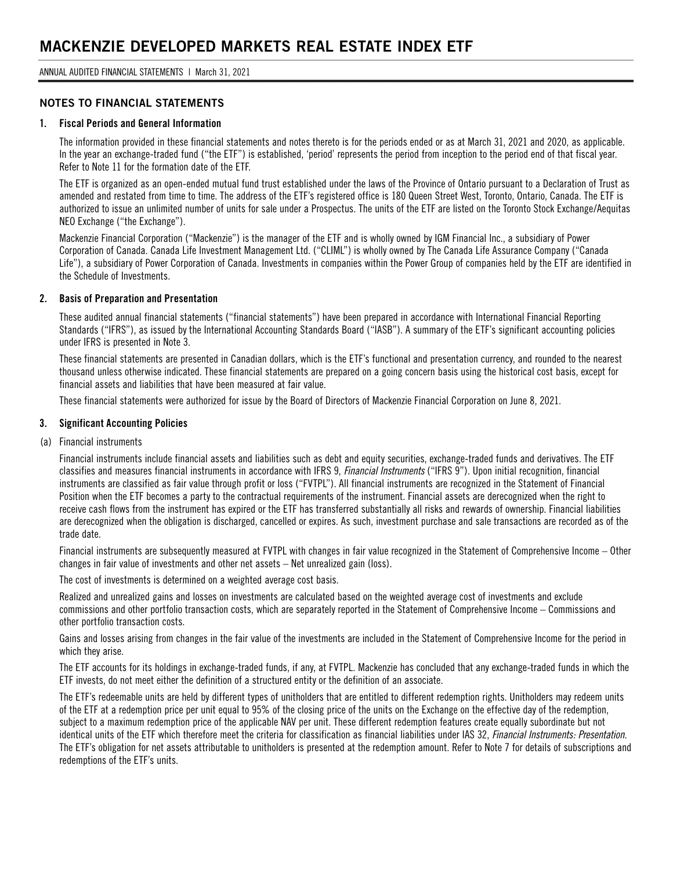# **NOTES TO FINANCIAL STATEMENTS**

### **1. Fiscal Periods and General Information**

The information provided in these financial statements and notes thereto is for the periods ended or as at March 31, 2021 and 2020, as applicable. In the year an exchange-traded fund ("the ETF") is established, 'period' represents the period from inception to the period end of that fiscal year. Refer to Note 11 for the formation date of the ETF.

The ETF is organized as an open-ended mutual fund trust established under the laws of the Province of Ontario pursuant to a Declaration of Trust as amended and restated from time to time. The address of the ETF's registered office is 180 Queen Street West, Toronto, Ontario, Canada. The ETF is authorized to issue an unlimited number of units for sale under a Prospectus. The units of the ETF are listed on the Toronto Stock Exchange/Aequitas NEO Exchange ("the Exchange").

Mackenzie Financial Corporation ("Mackenzie") is the manager of the ETF and is wholly owned by IGM Financial Inc., a subsidiary of Power Corporation of Canada. Canada Life Investment Management Ltd. ("CLIML") is wholly owned by The Canada Life Assurance Company ("Canada Life"), a subsidiary of Power Corporation of Canada. Investments in companies within the Power Group of companies held by the ETF are identified in the Schedule of Investments.

# **2. Basis of Preparation and Presentation**

These audited annual financial statements ("financial statements") have been prepared in accordance with International Financial Reporting Standards ("IFRS"), as issued by the International Accounting Standards Board ("IASB"). A summary of the ETF's significant accounting policies under IFRS is presented in Note 3.

These financial statements are presented in Canadian dollars, which is the ETF's functional and presentation currency, and rounded to the nearest thousand unless otherwise indicated. These financial statements are prepared on a going concern basis using the historical cost basis, except for financial assets and liabilities that have been measured at fair value.

These financial statements were authorized for issue by the Board of Directors of Mackenzie Financial Corporation on June 8, 2021.

# **3. Significant Accounting Policies**

(a) Financial instruments

Financial instruments include financial assets and liabilities such as debt and equity securities, exchange-traded funds and derivatives. The ETF classifies and measures financial instruments in accordance with IFRS 9, *Financial Instruments* ("IFRS 9"). Upon initial recognition, financial instruments are classified as fair value through profit or loss ("FVTPL"). All financial instruments are recognized in the Statement of Financial Position when the ETF becomes a party to the contractual requirements of the instrument. Financial assets are derecognized when the right to receive cash flows from the instrument has expired or the ETF has transferred substantially all risks and rewards of ownership. Financial liabilities are derecognized when the obligation is discharged, cancelled or expires. As such, investment purchase and sale transactions are recorded as of the trade date.

Financial instruments are subsequently measured at FVTPL with changes in fair value recognized in the Statement of Comprehensive Income – Other changes in fair value of investments and other net assets – Net unrealized gain (loss).

The cost of investments is determined on a weighted average cost basis.

Realized and unrealized gains and losses on investments are calculated based on the weighted average cost of investments and exclude commissions and other portfolio transaction costs, which are separately reported in the Statement of Comprehensive Income – Commissions and other portfolio transaction costs.

Gains and losses arising from changes in the fair value of the investments are included in the Statement of Comprehensive Income for the period in which they arise.

The ETF accounts for its holdings in exchange-traded funds, if any, at FVTPL. Mackenzie has concluded that any exchange-traded funds in which the ETF invests, do not meet either the definition of a structured entity or the definition of an associate.

The ETF's redeemable units are held by different types of unitholders that are entitled to different redemption rights. Unitholders may redeem units of the ETF at a redemption price per unit equal to 95% of the closing price of the units on the Exchange on the effective day of the redemption, subject to a maximum redemption price of the applicable NAV per unit. These different redemption features create equally subordinate but not identical units of the ETF which therefore meet the criteria for classification as financial liabilities under IAS 32, *Financial Instruments: Presentation*. The ETF's obligation for net assets attributable to unitholders is presented at the redemption amount. Refer to Note 7 for details of subscriptions and redemptions of the ETF's units.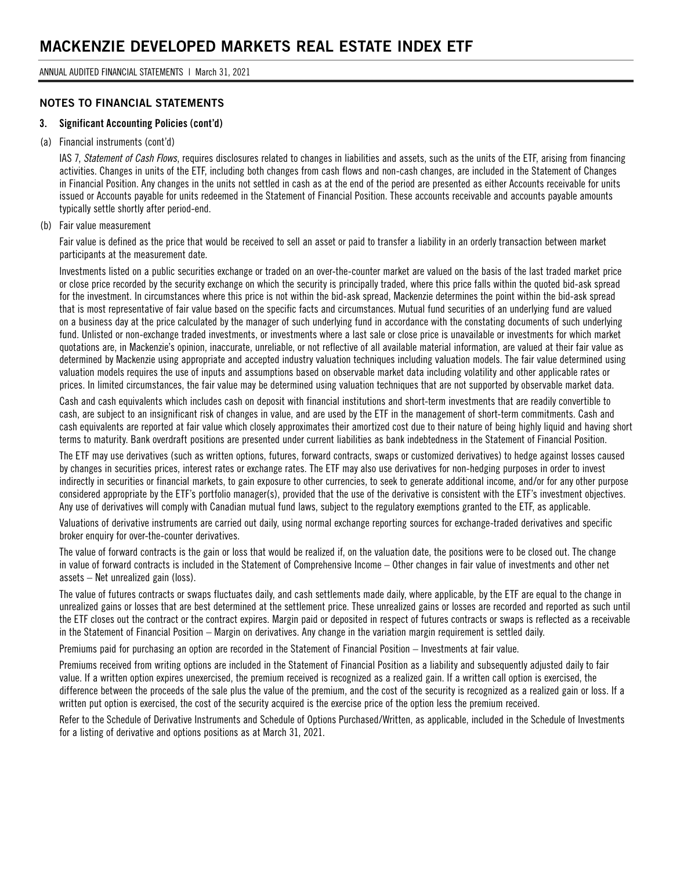# **NOTES TO FINANCIAL STATEMENTS**

# **3. Significant Accounting Policies (cont'd)**

### (a) Financial instruments (cont'd)

IAS 7, *Statement of Cash Flows*, requires disclosures related to changes in liabilities and assets, such as the units of the ETF, arising from financing activities. Changes in units of the ETF, including both changes from cash flows and non-cash changes, are included in the Statement of Changes in Financial Position. Any changes in the units not settled in cash as at the end of the period are presented as either Accounts receivable for units issued or Accounts payable for units redeemed in the Statement of Financial Position. These accounts receivable and accounts payable amounts typically settle shortly after period-end.

# (b) Fair value measurement

Fair value is defined as the price that would be received to sell an asset or paid to transfer a liability in an orderly transaction between market participants at the measurement date.

Investments listed on a public securities exchange or traded on an over-the-counter market are valued on the basis of the last traded market price or close price recorded by the security exchange on which the security is principally traded, where this price falls within the quoted bid-ask spread for the investment. In circumstances where this price is not within the bid-ask spread, Mackenzie determines the point within the bid-ask spread that is most representative of fair value based on the specific facts and circumstances. Mutual fund securities of an underlying fund are valued on a business day at the price calculated by the manager of such underlying fund in accordance with the constating documents of such underlying fund. Unlisted or non-exchange traded investments, or investments where a last sale or close price is unavailable or investments for which market quotations are, in Mackenzie's opinion, inaccurate, unreliable, or not reflective of all available material information, are valued at their fair value as determined by Mackenzie using appropriate and accepted industry valuation techniques including valuation models. The fair value determined using valuation models requires the use of inputs and assumptions based on observable market data including volatility and other applicable rates or prices. In limited circumstances, the fair value may be determined using valuation techniques that are not supported by observable market data.

Cash and cash equivalents which includes cash on deposit with financial institutions and short-term investments that are readily convertible to cash, are subject to an insignificant risk of changes in value, and are used by the ETF in the management of short-term commitments. Cash and cash equivalents are reported at fair value which closely approximates their amortized cost due to their nature of being highly liquid and having short terms to maturity. Bank overdraft positions are presented under current liabilities as bank indebtedness in the Statement of Financial Position.

The ETF may use derivatives (such as written options, futures, forward contracts, swaps or customized derivatives) to hedge against losses caused by changes in securities prices, interest rates or exchange rates. The ETF may also use derivatives for non-hedging purposes in order to invest indirectly in securities or financial markets, to gain exposure to other currencies, to seek to generate additional income, and/or for any other purpose considered appropriate by the ETF's portfolio manager(s), provided that the use of the derivative is consistent with the ETF's investment objectives. Any use of derivatives will comply with Canadian mutual fund laws, subject to the regulatory exemptions granted to the ETF, as applicable.

Valuations of derivative instruments are carried out daily, using normal exchange reporting sources for exchange-traded derivatives and specific broker enquiry for over-the-counter derivatives.

The value of forward contracts is the gain or loss that would be realized if, on the valuation date, the positions were to be closed out. The change in value of forward contracts is included in the Statement of Comprehensive Income – Other changes in fair value of investments and other net assets – Net unrealized gain (loss).

The value of futures contracts or swaps fluctuates daily, and cash settlements made daily, where applicable, by the ETF are equal to the change in unrealized gains or losses that are best determined at the settlement price. These unrealized gains or losses are recorded and reported as such until the ETF closes out the contract or the contract expires. Margin paid or deposited in respect of futures contracts or swaps is reflected as a receivable in the Statement of Financial Position – Margin on derivatives. Any change in the variation margin requirement is settled daily.

Premiums paid for purchasing an option are recorded in the Statement of Financial Position – Investments at fair value.

Premiums received from writing options are included in the Statement of Financial Position as a liability and subsequently adjusted daily to fair value. If a written option expires unexercised, the premium received is recognized as a realized gain. If a written call option is exercised, the difference between the proceeds of the sale plus the value of the premium, and the cost of the security is recognized as a realized gain or loss. If a written put option is exercised, the cost of the security acquired is the exercise price of the option less the premium received.

Refer to the Schedule of Derivative Instruments and Schedule of Options Purchased/Written, as applicable, included in the Schedule of Investments for a listing of derivative and options positions as at March 31, 2021.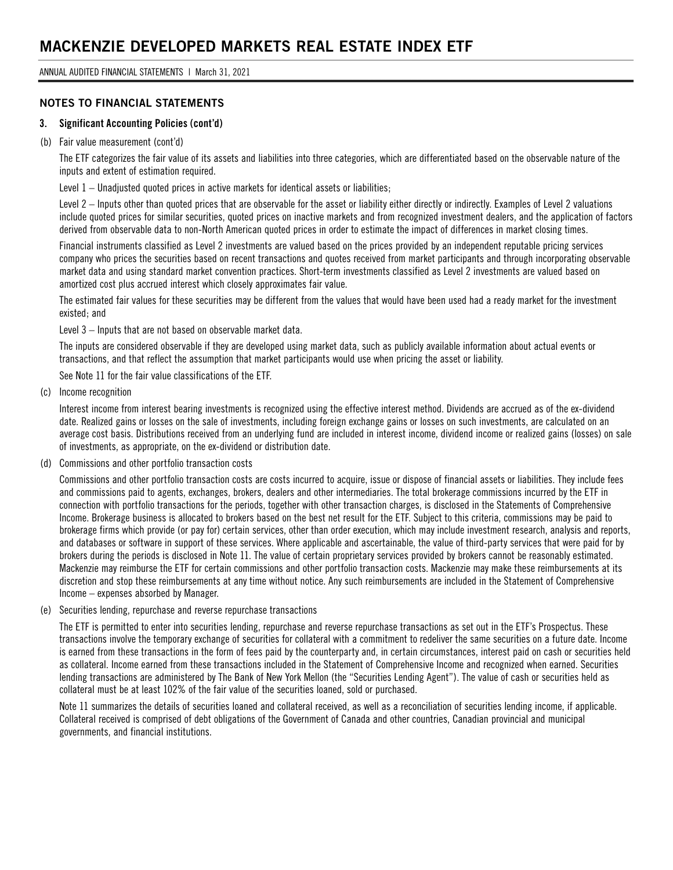ANNUAL AUDITED FINANCIAL STATEMENTS | March 31, 2021

# **NOTES TO FINANCIAL STATEMENTS**

# **3. Significant Accounting Policies (cont'd)**

### (b) Fair value measurement (cont'd)

The ETF categorizes the fair value of its assets and liabilities into three categories, which are differentiated based on the observable nature of the inputs and extent of estimation required.

Level 1 – Unadjusted quoted prices in active markets for identical assets or liabilities;

Level 2 – Inputs other than quoted prices that are observable for the asset or liability either directly or indirectly. Examples of Level 2 valuations include quoted prices for similar securities, quoted prices on inactive markets and from recognized investment dealers, and the application of factors derived from observable data to non-North American quoted prices in order to estimate the impact of differences in market closing times.

Financial instruments classified as Level 2 investments are valued based on the prices provided by an independent reputable pricing services company who prices the securities based on recent transactions and quotes received from market participants and through incorporating observable market data and using standard market convention practices. Short-term investments classified as Level 2 investments are valued based on amortized cost plus accrued interest which closely approximates fair value.

The estimated fair values for these securities may be different from the values that would have been used had a ready market for the investment existed; and

Level 3 – Inputs that are not based on observable market data.

The inputs are considered observable if they are developed using market data, such as publicly available information about actual events or transactions, and that reflect the assumption that market participants would use when pricing the asset or liability.

See Note 11 for the fair value classifications of the ETF.

(c) Income recognition

Interest income from interest bearing investments is recognized using the effective interest method. Dividends are accrued as of the ex-dividend date. Realized gains or losses on the sale of investments, including foreign exchange gains or losses on such investments, are calculated on an average cost basis. Distributions received from an underlying fund are included in interest income, dividend income or realized gains (losses) on sale of investments, as appropriate, on the ex-dividend or distribution date.

(d) Commissions and other portfolio transaction costs

Commissions and other portfolio transaction costs are costs incurred to acquire, issue or dispose of financial assets or liabilities. They include fees and commissions paid to agents, exchanges, brokers, dealers and other intermediaries. The total brokerage commissions incurred by the ETF in connection with portfolio transactions for the periods, together with other transaction charges, is disclosed in the Statements of Comprehensive Income. Brokerage business is allocated to brokers based on the best net result for the ETF. Subject to this criteria, commissions may be paid to brokerage firms which provide (or pay for) certain services, other than order execution, which may include investment research, analysis and reports, and databases or software in support of these services. Where applicable and ascertainable, the value of third-party services that were paid for by brokers during the periods is disclosed in Note 11. The value of certain proprietary services provided by brokers cannot be reasonably estimated. Mackenzie may reimburse the ETF for certain commissions and other portfolio transaction costs. Mackenzie may make these reimbursements at its discretion and stop these reimbursements at any time without notice. Any such reimbursements are included in the Statement of Comprehensive Income – expenses absorbed by Manager.

(e) Securities lending, repurchase and reverse repurchase transactions

The ETF is permitted to enter into securities lending, repurchase and reverse repurchase transactions as set out in the ETF's Prospectus. These transactions involve the temporary exchange of securities for collateral with a commitment to redeliver the same securities on a future date. Income is earned from these transactions in the form of fees paid by the counterparty and, in certain circumstances, interest paid on cash or securities held as collateral. Income earned from these transactions included in the Statement of Comprehensive Income and recognized when earned. Securities lending transactions are administered by The Bank of New York Mellon (the "Securities Lending Agent"). The value of cash or securities held as collateral must be at least 102% of the fair value of the securities loaned, sold or purchased.

Note 11 summarizes the details of securities loaned and collateral received, as well as a reconciliation of securities lending income, if applicable. Collateral received is comprised of debt obligations of the Government of Canada and other countries, Canadian provincial and municipal governments, and financial institutions.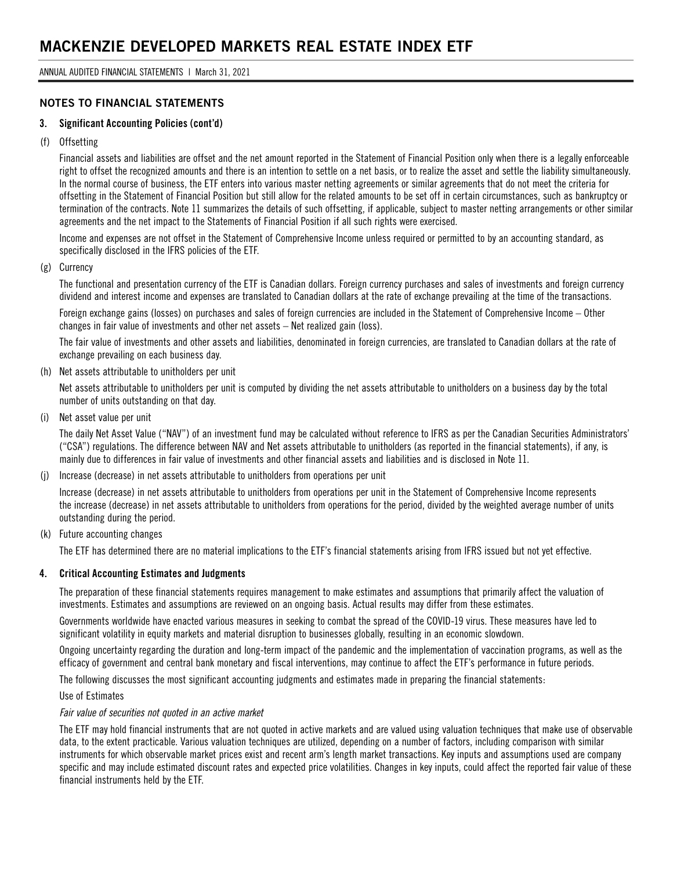# **NOTES TO FINANCIAL STATEMENTS**

# **3. Significant Accounting Policies (cont'd)**

# (f) Offsetting

Financial assets and liabilities are offset and the net amount reported in the Statement of Financial Position only when there is a legally enforceable right to offset the recognized amounts and there is an intention to settle on a net basis, or to realize the asset and settle the liability simultaneously. In the normal course of business, the ETF enters into various master netting agreements or similar agreements that do not meet the criteria for offsetting in the Statement of Financial Position but still allow for the related amounts to be set off in certain circumstances, such as bankruptcy or termination of the contracts. Note 11 summarizes the details of such offsetting, if applicable, subject to master netting arrangements or other similar agreements and the net impact to the Statements of Financial Position if all such rights were exercised.

Income and expenses are not offset in the Statement of Comprehensive Income unless required or permitted to by an accounting standard, as specifically disclosed in the IFRS policies of the ETF.

# (g) Currency

The functional and presentation currency of the ETF is Canadian dollars. Foreign currency purchases and sales of investments and foreign currency dividend and interest income and expenses are translated to Canadian dollars at the rate of exchange prevailing at the time of the transactions.

Foreign exchange gains (losses) on purchases and sales of foreign currencies are included in the Statement of Comprehensive Income – Other changes in fair value of investments and other net assets – Net realized gain (loss).

The fair value of investments and other assets and liabilities, denominated in foreign currencies, are translated to Canadian dollars at the rate of exchange prevailing on each business day.

(h) Net assets attributable to unitholders per unit

Net assets attributable to unitholders per unit is computed by dividing the net assets attributable to unitholders on a business day by the total number of units outstanding on that day.

(i) Net asset value per unit

The daily Net Asset Value ("NAV") of an investment fund may be calculated without reference to IFRS as per the Canadian Securities Administrators' ("CSA") regulations. The difference between NAV and Net assets attributable to unitholders (as reported in the financial statements), if any, is mainly due to differences in fair value of investments and other financial assets and liabilities and is disclosed in Note 11.

(j) Increase (decrease) in net assets attributable to unitholders from operations per unit

Increase (decrease) in net assets attributable to unitholders from operations per unit in the Statement of Comprehensive Income represents the increase (decrease) in net assets attributable to unitholders from operations for the period, divided by the weighted average number of units outstanding during the period.

# (k) Future accounting changes

The ETF has determined there are no material implications to the ETF's financial statements arising from IFRS issued but not yet effective.

# **4. Critical Accounting Estimates and Judgments**

The preparation of these financial statements requires management to make estimates and assumptions that primarily affect the valuation of investments. Estimates and assumptions are reviewed on an ongoing basis. Actual results may differ from these estimates.

Governments worldwide have enacted various measures in seeking to combat the spread of the COVID-19 virus. These measures have led to significant volatility in equity markets and material disruption to businesses globally, resulting in an economic slowdown.

Ongoing uncertainty regarding the duration and long-term impact of the pandemic and the implementation of vaccination programs, as well as the efficacy of government and central bank monetary and fiscal interventions, may continue to affect the ETF's performance in future periods.

The following discusses the most significant accounting judgments and estimates made in preparing the financial statements:

Use of Estimates

# *Fair value of securities not quoted in an active market*

The ETF may hold financial instruments that are not quoted in active markets and are valued using valuation techniques that make use of observable data, to the extent practicable. Various valuation techniques are utilized, depending on a number of factors, including comparison with similar instruments for which observable market prices exist and recent arm's length market transactions. Key inputs and assumptions used are company specific and may include estimated discount rates and expected price volatilities. Changes in key inputs, could affect the reported fair value of these financial instruments held by the ETF.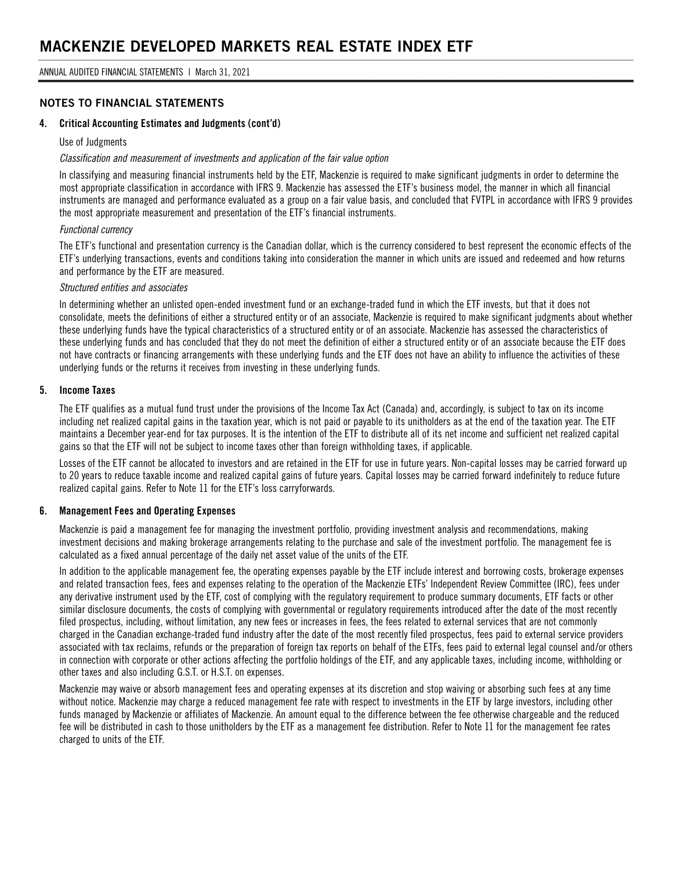# **NOTES TO FINANCIAL STATEMENTS**

# **4. Critical Accounting Estimates and Judgments (cont'd)**

# Use of Judgments

### *Classification and measurement of investments and application of the fair value option*

In classifying and measuring financial instruments held by the ETF, Mackenzie is required to make significant judgments in order to determine the most appropriate classification in accordance with IFRS 9. Mackenzie has assessed the ETF's business model, the manner in which all financial instruments are managed and performance evaluated as a group on a fair value basis, and concluded that FVTPL in accordance with IFRS 9 provides the most appropriate measurement and presentation of the ETF's financial instruments.

### *Functional currency*

The ETF's functional and presentation currency is the Canadian dollar, which is the currency considered to best represent the economic effects of the ETF's underlying transactions, events and conditions taking into consideration the manner in which units are issued and redeemed and how returns and performance by the ETF are measured.

### *Structured entities and associates*

In determining whether an unlisted open-ended investment fund or an exchange-traded fund in which the ETF invests, but that it does not consolidate, meets the definitions of either a structured entity or of an associate, Mackenzie is required to make significant judgments about whether these underlying funds have the typical characteristics of a structured entity or of an associate. Mackenzie has assessed the characteristics of these underlying funds and has concluded that they do not meet the definition of either a structured entity or of an associate because the ETF does not have contracts or financing arrangements with these underlying funds and the ETF does not have an ability to influence the activities of these underlying funds or the returns it receives from investing in these underlying funds.

# **5. Income Taxes**

The ETF qualifies as a mutual fund trust under the provisions of the Income Tax Act (Canada) and, accordingly, is subject to tax on its income including net realized capital gains in the taxation year, which is not paid or payable to its unitholders as at the end of the taxation year. The ETF maintains a December year-end for tax purposes. It is the intention of the ETF to distribute all of its net income and sufficient net realized capital gains so that the ETF will not be subject to income taxes other than foreign withholding taxes, if applicable.

Losses of the ETF cannot be allocated to investors and are retained in the ETF for use in future years. Non-capital losses may be carried forward up to 20 years to reduce taxable income and realized capital gains of future years. Capital losses may be carried forward indefinitely to reduce future realized capital gains. Refer to Note 11 for the ETF's loss carryforwards.

# **6. Management Fees and Operating Expenses**

Mackenzie is paid a management fee for managing the investment portfolio, providing investment analysis and recommendations, making investment decisions and making brokerage arrangements relating to the purchase and sale of the investment portfolio. The management fee is calculated as a fixed annual percentage of the daily net asset value of the units of the ETF.

In addition to the applicable management fee, the operating expenses payable by the ETF include interest and borrowing costs, brokerage expenses and related transaction fees, fees and expenses relating to the operation of the Mackenzie ETFs' Independent Review Committee (IRC), fees under any derivative instrument used by the ETF, cost of complying with the regulatory requirement to produce summary documents, ETF facts or other similar disclosure documents, the costs of complying with governmental or regulatory requirements introduced after the date of the most recently filed prospectus, including, without limitation, any new fees or increases in fees, the fees related to external services that are not commonly charged in the Canadian exchange-traded fund industry after the date of the most recently filed prospectus, fees paid to external service providers associated with tax reclaims, refunds or the preparation of foreign tax reports on behalf of the ETFs, fees paid to external legal counsel and/or others in connection with corporate or other actions affecting the portfolio holdings of the ETF, and any applicable taxes, including income, withholding or other taxes and also including G.S.T. or H.S.T. on expenses.

Mackenzie may waive or absorb management fees and operating expenses at its discretion and stop waiving or absorbing such fees at any time without notice. Mackenzie may charge a reduced management fee rate with respect to investments in the ETF by large investors, including other funds managed by Mackenzie or affiliates of Mackenzie. An amount equal to the difference between the fee otherwise chargeable and the reduced fee will be distributed in cash to those unitholders by the ETF as a management fee distribution. Refer to Note 11 for the management fee rates charged to units of the ETF.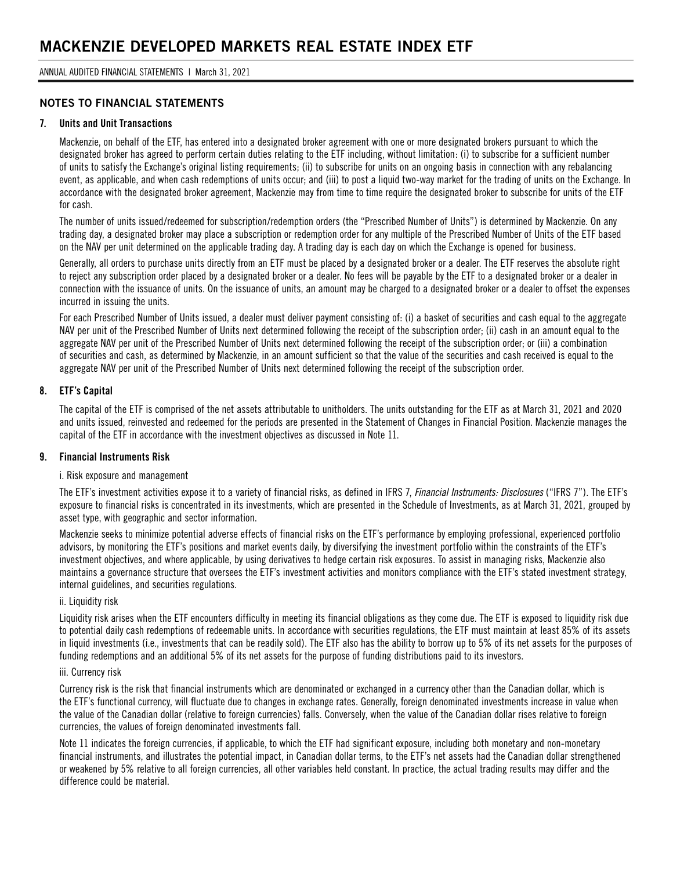# **NOTES TO FINANCIAL STATEMENTS**

# **7. Units and Unit Transactions**

Mackenzie, on behalf of the ETF, has entered into a designated broker agreement with one or more designated brokers pursuant to which the designated broker has agreed to perform certain duties relating to the ETF including, without limitation: (i) to subscribe for a sufficient number of units to satisfy the Exchange's original listing requirements; (ii) to subscribe for units on an ongoing basis in connection with any rebalancing event, as applicable, and when cash redemptions of units occur; and (iii) to post a liquid two-way market for the trading of units on the Exchange. In accordance with the designated broker agreement, Mackenzie may from time to time require the designated broker to subscribe for units of the ETF for cash.

The number of units issued/redeemed for subscription/redemption orders (the "Prescribed Number of Units") is determined by Mackenzie. On any trading day, a designated broker may place a subscription or redemption order for any multiple of the Prescribed Number of Units of the ETF based on the NAV per unit determined on the applicable trading day. A trading day is each day on which the Exchange is opened for business.

Generally, all orders to purchase units directly from an ETF must be placed by a designated broker or a dealer. The ETF reserves the absolute right to reject any subscription order placed by a designated broker or a dealer. No fees will be payable by the ETF to a designated broker or a dealer in connection with the issuance of units. On the issuance of units, an amount may be charged to a designated broker or a dealer to offset the expenses incurred in issuing the units.

For each Prescribed Number of Units issued, a dealer must deliver payment consisting of: (i) a basket of securities and cash equal to the aggregate NAV per unit of the Prescribed Number of Units next determined following the receipt of the subscription order; (ii) cash in an amount equal to the aggregate NAV per unit of the Prescribed Number of Units next determined following the receipt of the subscription order; or (iii) a combination of securities and cash, as determined by Mackenzie, in an amount sufficient so that the value of the securities and cash received is equal to the aggregate NAV per unit of the Prescribed Number of Units next determined following the receipt of the subscription order.

# **8. ETF's Capital**

The capital of the ETF is comprised of the net assets attributable to unitholders. The units outstanding for the ETF as at March 31, 2021 and 2020 and units issued, reinvested and redeemed for the periods are presented in the Statement of Changes in Financial Position. Mackenzie manages the capital of the ETF in accordance with the investment objectives as discussed in Note 11.

# **9. Financial Instruments Risk**

# i. Risk exposure and management

The ETF's investment activities expose it to a variety of financial risks, as defined in IFRS 7, *Financial Instruments: Disclosures* ("IFRS 7"). The ETF's exposure to financial risks is concentrated in its investments, which are presented in the Schedule of Investments, as at March 31, 2021, grouped by asset type, with geographic and sector information.

Mackenzie seeks to minimize potential adverse effects of financial risks on the ETF's performance by employing professional, experienced portfolio advisors, by monitoring the ETF's positions and market events daily, by diversifying the investment portfolio within the constraints of the ETF's investment objectives, and where applicable, by using derivatives to hedge certain risk exposures. To assist in managing risks, Mackenzie also maintains a governance structure that oversees the ETF's investment activities and monitors compliance with the ETF's stated investment strategy, internal guidelines, and securities regulations.

# ii. Liquidity risk

Liquidity risk arises when the ETF encounters difficulty in meeting its financial obligations as they come due. The ETF is exposed to liquidity risk due to potential daily cash redemptions of redeemable units. In accordance with securities regulations, the ETF must maintain at least 85% of its assets in liquid investments (i.e., investments that can be readily sold). The ETF also has the ability to borrow up to 5% of its net assets for the purposes of funding redemptions and an additional 5% of its net assets for the purpose of funding distributions paid to its investors.

# iii. Currency risk

Currency risk is the risk that financial instruments which are denominated or exchanged in a currency other than the Canadian dollar, which is the ETF's functional currency, will fluctuate due to changes in exchange rates. Generally, foreign denominated investments increase in value when the value of the Canadian dollar (relative to foreign currencies) falls. Conversely, when the value of the Canadian dollar rises relative to foreign currencies, the values of foreign denominated investments fall.

Note 11 indicates the foreign currencies, if applicable, to which the ETF had significant exposure, including both monetary and non-monetary financial instruments, and illustrates the potential impact, in Canadian dollar terms, to the ETF's net assets had the Canadian dollar strengthened or weakened by 5% relative to all foreign currencies, all other variables held constant. In practice, the actual trading results may differ and the difference could be material.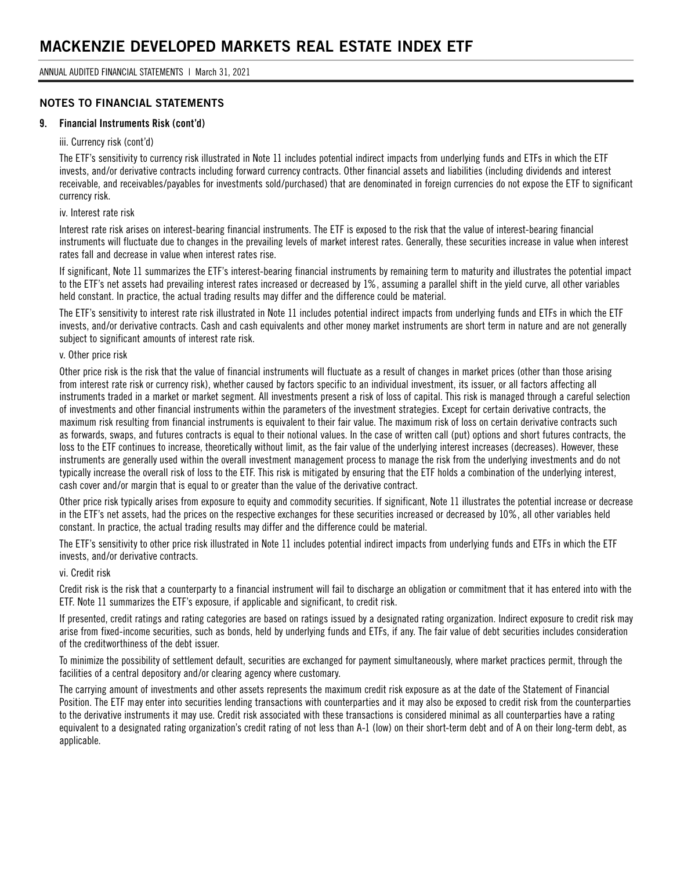# **NOTES TO FINANCIAL STATEMENTS**

# **9. Financial Instruments Risk (cont'd)**

### iii. Currency risk (cont'd)

The ETF's sensitivity to currency risk illustrated in Note 11 includes potential indirect impacts from underlying funds and ETFs in which the ETF invests, and/or derivative contracts including forward currency contracts. Other financial assets and liabilities (including dividends and interest receivable, and receivables/payables for investments sold/purchased) that are denominated in foreign currencies do not expose the ETF to significant currency risk.

### iv. Interest rate risk

Interest rate risk arises on interest-bearing financial instruments. The ETF is exposed to the risk that the value of interest-bearing financial instruments will fluctuate due to changes in the prevailing levels of market interest rates. Generally, these securities increase in value when interest rates fall and decrease in value when interest rates rise.

If significant, Note 11 summarizes the ETF's interest-bearing financial instruments by remaining term to maturity and illustrates the potential impact to the ETF's net assets had prevailing interest rates increased or decreased by 1%, assuming a parallel shift in the yield curve, all other variables held constant. In practice, the actual trading results may differ and the difference could be material.

The ETF's sensitivity to interest rate risk illustrated in Note 11 includes potential indirect impacts from underlying funds and ETFs in which the ETF invests, and/or derivative contracts. Cash and cash equivalents and other money market instruments are short term in nature and are not generally subject to significant amounts of interest rate risk.

### v. Other price risk

Other price risk is the risk that the value of financial instruments will fluctuate as a result of changes in market prices (other than those arising from interest rate risk or currency risk), whether caused by factors specific to an individual investment, its issuer, or all factors affecting all instruments traded in a market or market segment. All investments present a risk of loss of capital. This risk is managed through a careful selection of investments and other financial instruments within the parameters of the investment strategies. Except for certain derivative contracts, the maximum risk resulting from financial instruments is equivalent to their fair value. The maximum risk of loss on certain derivative contracts such as forwards, swaps, and futures contracts is equal to their notional values. In the case of written call (put) options and short futures contracts, the loss to the ETF continues to increase, theoretically without limit, as the fair value of the underlying interest increases (decreases). However, these instruments are generally used within the overall investment management process to manage the risk from the underlying investments and do not typically increase the overall risk of loss to the ETF. This risk is mitigated by ensuring that the ETF holds a combination of the underlying interest, cash cover and/or margin that is equal to or greater than the value of the derivative contract.

Other price risk typically arises from exposure to equity and commodity securities. If significant, Note 11 illustrates the potential increase or decrease in the ETF's net assets, had the prices on the respective exchanges for these securities increased or decreased by 10%, all other variables held constant. In practice, the actual trading results may differ and the difference could be material.

The ETF's sensitivity to other price risk illustrated in Note 11 includes potential indirect impacts from underlying funds and ETFs in which the ETF invests, and/or derivative contracts.

### vi. Credit risk

Credit risk is the risk that a counterparty to a financial instrument will fail to discharge an obligation or commitment that it has entered into with the ETF. Note 11 summarizes the ETF's exposure, if applicable and significant, to credit risk.

If presented, credit ratings and rating categories are based on ratings issued by a designated rating organization. Indirect exposure to credit risk may arise from fixed-income securities, such as bonds, held by underlying funds and ETFs, if any. The fair value of debt securities includes consideration of the creditworthiness of the debt issuer.

To minimize the possibility of settlement default, securities are exchanged for payment simultaneously, where market practices permit, through the facilities of a central depository and/or clearing agency where customary.

The carrying amount of investments and other assets represents the maximum credit risk exposure as at the date of the Statement of Financial Position. The ETF may enter into securities lending transactions with counterparties and it may also be exposed to credit risk from the counterparties to the derivative instruments it may use. Credit risk associated with these transactions is considered minimal as all counterparties have a rating equivalent to a designated rating organization's credit rating of not less than A-1 (low) on their short-term debt and of A on their long-term debt, as applicable.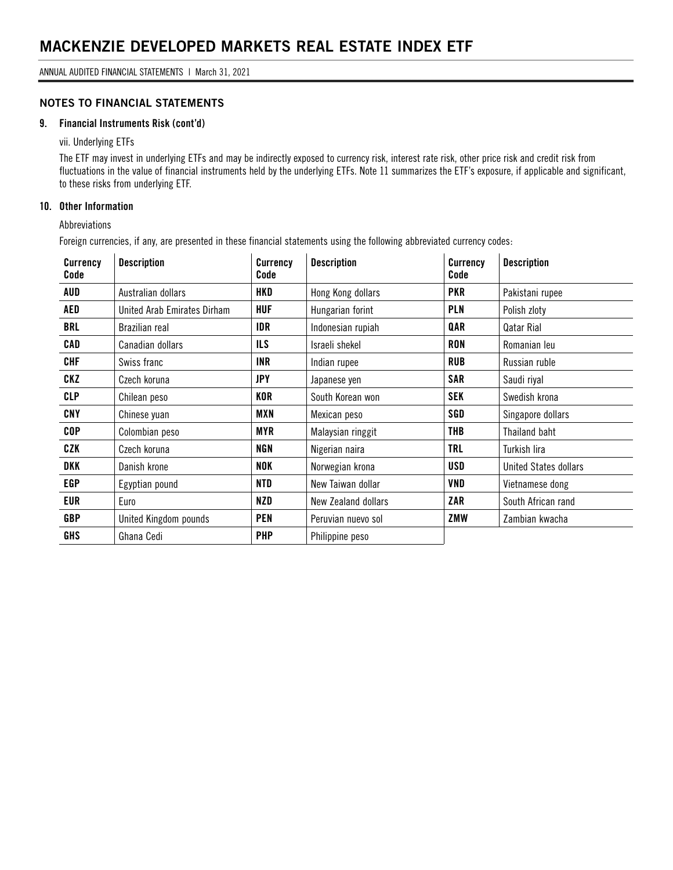# **NOTES TO FINANCIAL STATEMENTS**

# **9. Financial Instruments Risk (cont'd)**

### vii. Underlying ETFs

The ETF may invest in underlying ETFs and may be indirectly exposed to currency risk, interest rate risk, other price risk and credit risk from fluctuations in the value of financial instruments held by the underlying ETFs. Note 11 summarizes the ETF's exposure, if applicable and significant, to these risks from underlying ETF.

# **10. Other Information**

Abbreviations

Foreign currencies, if any, are presented in these financial statements using the following abbreviated currency codes:

| <b>Currency</b><br>Code | <b>Description</b>          | <b>Currency</b><br>Code | <b>Description</b>  | <b>Currency</b><br>Code | <b>Description</b>           |
|-------------------------|-----------------------------|-------------------------|---------------------|-------------------------|------------------------------|
| AUD                     | Australian dollars          | HKD                     | Hong Kong dollars   | <b>PKR</b>              | Pakistani rupee              |
| AED                     | United Arab Emirates Dirham | <b>HUF</b>              | Hungarian forint    | PLN                     | Polish zloty                 |
| <b>BRL</b>              | Brazilian real              | IDR                     | Indonesian rupiah   | QAR                     | Qatar Rial                   |
| CAD                     | Canadian dollars            | <b>ILS</b>              | Israeli shekel      | <b>RON</b>              | Romanian leu                 |
| <b>CHF</b>              | Swiss franc                 | <b>INR</b>              | Indian rupee        | <b>RUB</b>              | Russian ruble                |
| CKZ                     | Czech koruna                | <b>JPY</b>              | Japanese yen        | <b>SAR</b>              | Saudi riyal                  |
| <b>CLP</b>              | Chilean peso                | KOR                     | South Korean won    | <b>SEK</b>              | Swedish krona                |
| CNY                     | Chinese yuan                | MXN                     | Mexican peso        | SGD                     | Singapore dollars            |
| <b>COP</b>              | Colombian peso              | MYR                     | Malaysian ringgit   | THB                     | Thailand baht                |
| CZK                     | Czech koruna                | <b>NGN</b>              | Nigerian naira      | <b>TRL</b>              | Turkish lira                 |
| DKK                     | Danish krone                | NOK                     | Norwegian krona     | USD                     | <b>United States dollars</b> |
| EGP                     | Egyptian pound              | NTD                     | New Taiwan dollar   | VND                     | Vietnamese dong              |
| EUR                     | Euro                        | NZD                     | New Zealand dollars | ZAR                     | South African rand           |
| <b>GBP</b>              | United Kingdom pounds       | <b>PEN</b>              | Peruvian nuevo sol  | ZMW                     | Zambian kwacha               |
| <b>GHS</b>              | Ghana Cedi                  | <b>PHP</b>              | Philippine peso     |                         |                              |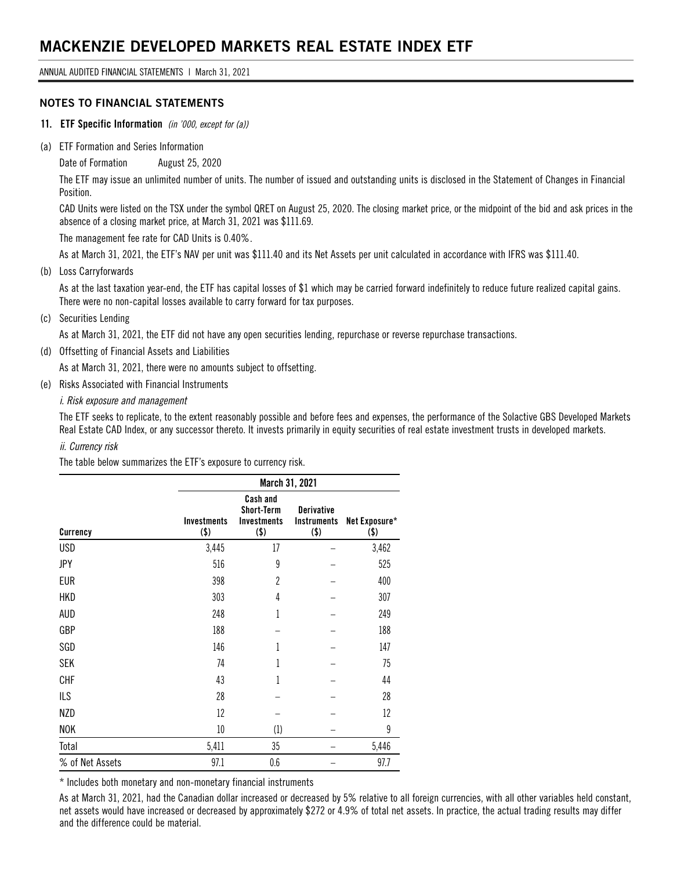ANNUAL AUDITED FINANCIAL STATEMENTS | March 31, 2021

# **NOTES TO FINANCIAL STATEMENTS**

- **11. ETF Specific Information** *(in '000, except for (a))*
- (a) ETF Formation and Series Information

Date of Formation August 25, 2020

The ETF may issue an unlimited number of units. The number of issued and outstanding units is disclosed in the Statement of Changes in Financial Position.

CAD Units were listed on the TSX under the symbol QRET on August 25, 2020. The closing market price, or the midpoint of the bid and ask prices in the absence of a closing market price, at March 31, 2021 was \$111.69.

The management fee rate for CAD Units is 0.40%.

As at March 31, 2021, the ETF's NAV per unit was \$111.40 and its Net Assets per unit calculated in accordance with IFRS was \$111.40.

(b) Loss Carryforwards

As at the last taxation year-end, the ETF has capital losses of \$1 which may be carried forward indefinitely to reduce future realized capital gains. There were no non-capital losses available to carry forward for tax purposes.

(c) Securities Lending

As at March 31, 2021, the ETF did not have any open securities lending, repurchase or reverse repurchase transactions.

(d) Offsetting of Financial Assets and Liabilities

As at March 31, 2021, there were no amounts subject to offsetting.

(e) Risks Associated with Financial Instruments

### *i. Risk exposure and management*

The ETF seeks to replicate, to the extent reasonably possible and before fees and expenses, the performance of the Solactive GBS Developed Markets Real Estate CAD Index, or any successor thereto. It invests primarily in equity securities of real estate investment trusts in developed markets.

# *ii. Currency risk*

The table below summarizes the ETF's exposure to currency risk.

|                 | March 31, 2021                |                                                                |                                                    |                       |  |  |
|-----------------|-------------------------------|----------------------------------------------------------------|----------------------------------------------------|-----------------------|--|--|
| Currency        | <b>Investments</b><br>$($ \$) | Cash and<br><b>Short-Term</b><br><b>Investments</b><br>$($ \$) | <b>Derivative</b><br><b>Instruments</b><br>$($ \$) | Net Exposure*<br>(\$) |  |  |
| <b>USD</b>      | 3,445                         | 17                                                             |                                                    | 3,462                 |  |  |
| <b>JPY</b>      | 516                           | 9                                                              |                                                    | 525                   |  |  |
| <b>EUR</b>      | 398                           | $\overline{c}$                                                 |                                                    | 400                   |  |  |
| <b>HKD</b>      | 303                           | 4                                                              |                                                    | 307                   |  |  |
| AUD             | 248                           | 1                                                              |                                                    | 249                   |  |  |
| GBP             | 188                           |                                                                |                                                    | 188                   |  |  |
| SGD             | 146                           | 1                                                              |                                                    | 147                   |  |  |
| <b>SEK</b>      | 74                            | 1                                                              |                                                    | 75                    |  |  |
| <b>CHF</b>      | 43                            | 1                                                              |                                                    | 44                    |  |  |
| ILS             | 28                            |                                                                |                                                    | 28                    |  |  |
| <b>NZD</b>      | 12                            |                                                                |                                                    | 12                    |  |  |
| <b>NOK</b>      | 10                            | (1)                                                            |                                                    | 9                     |  |  |
| Total           | 5,411                         | 35                                                             |                                                    | 5,446                 |  |  |
| % of Net Assets | 97.1                          | 0.6                                                            |                                                    | 97.7                  |  |  |

\* Includes both monetary and non-monetary financial instruments

As at March 31, 2021, had the Canadian dollar increased or decreased by 5% relative to all foreign currencies, with all other variables held constant, net assets would have increased or decreased by approximately \$272 or 4.9% of total net assets. In practice, the actual trading results may differ and the difference could be material.